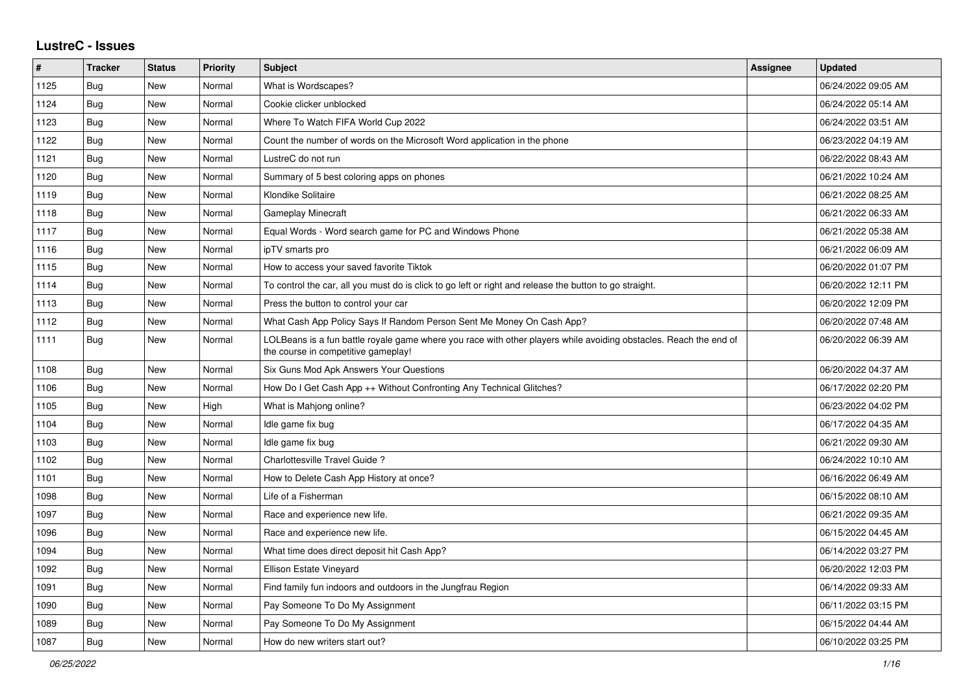## **LustreC - Issues**

| $\sharp$ | <b>Tracker</b> | <b>Status</b> | Priority | <b>Subject</b>                                                                                                                                           | <b>Assignee</b> | <b>Updated</b>      |
|----------|----------------|---------------|----------|----------------------------------------------------------------------------------------------------------------------------------------------------------|-----------------|---------------------|
| 1125     | Bug            | New           | Normal   | What is Wordscapes?                                                                                                                                      |                 | 06/24/2022 09:05 AM |
| 1124     | <b>Bug</b>     | <b>New</b>    | Normal   | Cookie clicker unblocked                                                                                                                                 |                 | 06/24/2022 05:14 AM |
| 1123     | <b>Bug</b>     | New           | Normal   | Where To Watch FIFA World Cup 2022                                                                                                                       |                 | 06/24/2022 03:51 AM |
| 1122     | Bug            | New           | Normal   | Count the number of words on the Microsoft Word application in the phone                                                                                 |                 | 06/23/2022 04:19 AM |
| 1121     | Bug            | New           | Normal   | LustreC do not run                                                                                                                                       |                 | 06/22/2022 08:43 AM |
| 1120     | Bug            | New           | Normal   | Summary of 5 best coloring apps on phones                                                                                                                |                 | 06/21/2022 10:24 AM |
| 1119     | <b>Bug</b>     | New           | Normal   | Klondike Solitaire                                                                                                                                       |                 | 06/21/2022 08:25 AM |
| 1118     | <b>Bug</b>     | New           | Normal   | <b>Gameplay Minecraft</b>                                                                                                                                |                 | 06/21/2022 06:33 AM |
| 1117     | Bug            | <b>New</b>    | Normal   | Equal Words - Word search game for PC and Windows Phone                                                                                                  |                 | 06/21/2022 05:38 AM |
| 1116     | <b>Bug</b>     | New           | Normal   | ipTV smarts pro                                                                                                                                          |                 | 06/21/2022 06:09 AM |
| 1115     | Bug            | New           | Normal   | How to access your saved favorite Tiktok                                                                                                                 |                 | 06/20/2022 01:07 PM |
| 1114     | Bug            | New           | Normal   | To control the car, all you must do is click to go left or right and release the button to go straight.                                                  |                 | 06/20/2022 12:11 PM |
| 1113     | <b>Bug</b>     | New           | Normal   | Press the button to control your car                                                                                                                     |                 | 06/20/2022 12:09 PM |
| 1112     | Bug            | New           | Normal   | What Cash App Policy Says If Random Person Sent Me Money On Cash App?                                                                                    |                 | 06/20/2022 07:48 AM |
| 1111     | Bug            | New           | Normal   | LOLBeans is a fun battle royale game where you race with other players while avoiding obstacles. Reach the end of<br>the course in competitive gameplay! |                 | 06/20/2022 06:39 AM |
| 1108     | Bug            | <b>New</b>    | Normal   | Six Guns Mod Apk Answers Your Questions                                                                                                                  |                 | 06/20/2022 04:37 AM |
| 1106     | Bug            | New           | Normal   | How Do I Get Cash App ++ Without Confronting Any Technical Glitches?                                                                                     |                 | 06/17/2022 02:20 PM |
| 1105     | <b>Bug</b>     | New           | High     | What is Mahjong online?                                                                                                                                  |                 | 06/23/2022 04:02 PM |
| 1104     | Bug            | New           | Normal   | Idle game fix bug                                                                                                                                        |                 | 06/17/2022 04:35 AM |
| 1103     | Bug            | New           | Normal   | ldle game fix bug                                                                                                                                        |                 | 06/21/2022 09:30 AM |
| 1102     | Bug            | <b>New</b>    | Normal   | Charlottesville Travel Guide?                                                                                                                            |                 | 06/24/2022 10:10 AM |
| 1101     | Bug            | New           | Normal   | How to Delete Cash App History at once?                                                                                                                  |                 | 06/16/2022 06:49 AM |
| 1098     | <b>Bug</b>     | New           | Normal   | Life of a Fisherman                                                                                                                                      |                 | 06/15/2022 08:10 AM |
| 1097     | Bug            | New           | Normal   | Race and experience new life.                                                                                                                            |                 | 06/21/2022 09:35 AM |
| 1096     | <b>Bug</b>     | New           | Normal   | Race and experience new life.                                                                                                                            |                 | 06/15/2022 04:45 AM |
| 1094     | <b>Bug</b>     | <b>New</b>    | Normal   | What time does direct deposit hit Cash App?                                                                                                              |                 | 06/14/2022 03:27 PM |
| 1092     | Bug            | New           | Normal   | Ellison Estate Vineyard                                                                                                                                  |                 | 06/20/2022 12:03 PM |
| 1091     | <b>Bug</b>     | New           | Normal   | Find family fun indoors and outdoors in the Jungfrau Region                                                                                              |                 | 06/14/2022 09:33 AM |
| 1090     | Bug            | New           | Normal   | Pay Someone To Do My Assignment                                                                                                                          |                 | 06/11/2022 03:15 PM |
| 1089     | <b>Bug</b>     | New           | Normal   | Pay Someone To Do My Assignment                                                                                                                          |                 | 06/15/2022 04:44 AM |
| 1087     | <b>Bug</b>     | <b>New</b>    | Normal   | How do new writers start out?                                                                                                                            |                 | 06/10/2022 03:25 PM |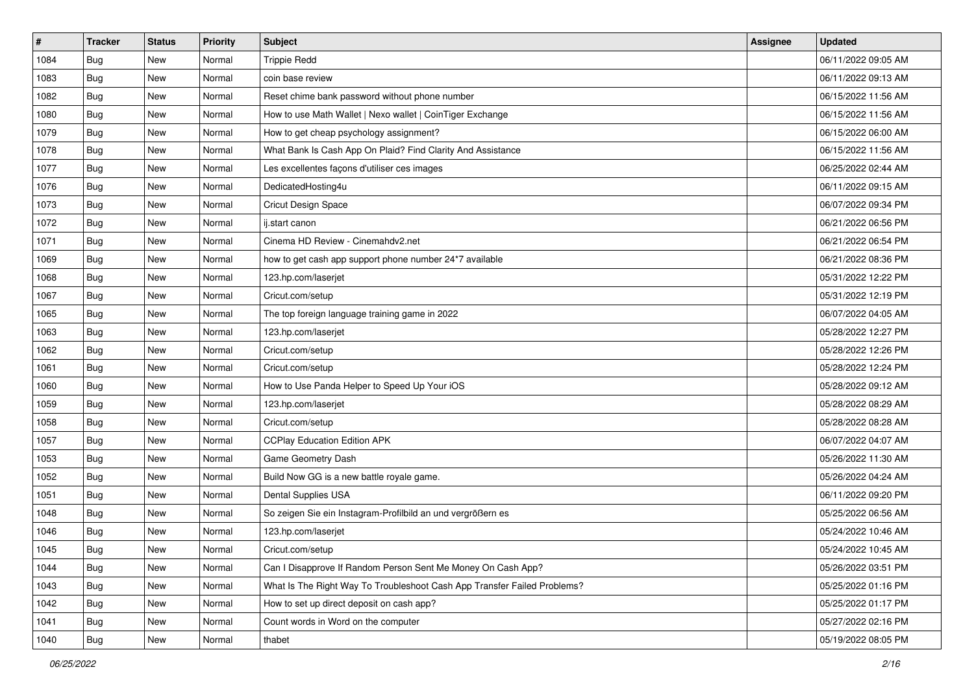| #    | <b>Tracker</b> | <b>Status</b> | <b>Priority</b> | <b>Subject</b>                                                           | <b>Assignee</b> | <b>Updated</b>      |
|------|----------------|---------------|-----------------|--------------------------------------------------------------------------|-----------------|---------------------|
| 1084 | <b>Bug</b>     | New           | Normal          | <b>Trippie Redd</b>                                                      |                 | 06/11/2022 09:05 AM |
| 1083 | <b>Bug</b>     | <b>New</b>    | Normal          | coin base review                                                         |                 | 06/11/2022 09:13 AM |
| 1082 | Bug            | New           | Normal          | Reset chime bank password without phone number                           |                 | 06/15/2022 11:56 AM |
| 1080 | Bug            | <b>New</b>    | Normal          | How to use Math Wallet   Nexo wallet   CoinTiger Exchange                |                 | 06/15/2022 11:56 AM |
| 1079 | Bug            | <b>New</b>    | Normal          | How to get cheap psychology assignment?                                  |                 | 06/15/2022 06:00 AM |
| 1078 | Bug            | New           | Normal          | What Bank Is Cash App On Plaid? Find Clarity And Assistance              |                 | 06/15/2022 11:56 AM |
| 1077 | Bug            | New           | Normal          | Les excellentes façons d'utiliser ces images                             |                 | 06/25/2022 02:44 AM |
| 1076 | <b>Bug</b>     | New           | Normal          | DedicatedHosting4u                                                       |                 | 06/11/2022 09:15 AM |
| 1073 | Bug            | <b>New</b>    | Normal          | Cricut Design Space                                                      |                 | 06/07/2022 09:34 PM |
| 1072 | Bug            | <b>New</b>    | Normal          | ij.start canon                                                           |                 | 06/21/2022 06:56 PM |
| 1071 | <b>Bug</b>     | New           | Normal          | Cinema HD Review - Cinemahdv2.net                                        |                 | 06/21/2022 06:54 PM |
| 1069 | Bug            | New           | Normal          | how to get cash app support phone number 24*7 available                  |                 | 06/21/2022 08:36 PM |
| 1068 | Bug            | <b>New</b>    | Normal          | 123.hp.com/laserjet                                                      |                 | 05/31/2022 12:22 PM |
| 1067 | <b>Bug</b>     | <b>New</b>    | Normal          | Cricut.com/setup                                                         |                 | 05/31/2022 12:19 PM |
| 1065 | <b>Bug</b>     | New           | Normal          | The top foreign language training game in 2022                           |                 | 06/07/2022 04:05 AM |
| 1063 | Bug            | New           | Normal          | 123.hp.com/laserjet                                                      |                 | 05/28/2022 12:27 PM |
| 1062 | <b>Bug</b>     | New           | Normal          | Cricut.com/setup                                                         |                 | 05/28/2022 12:26 PM |
| 1061 | Bug            | <b>New</b>    | Normal          | Cricut.com/setup                                                         |                 | 05/28/2022 12:24 PM |
| 1060 | <b>Bug</b>     | New           | Normal          | How to Use Panda Helper to Speed Up Your iOS                             |                 | 05/28/2022 09:12 AM |
| 1059 | Bug            | New           | Normal          | 123.hp.com/laserjet                                                      |                 | 05/28/2022 08:29 AM |
| 1058 | <b>Bug</b>     | New           | Normal          | Cricut.com/setup                                                         |                 | 05/28/2022 08:28 AM |
| 1057 | <b>Bug</b>     | <b>New</b>    | Normal          | <b>CCPlay Education Edition APK</b>                                      |                 | 06/07/2022 04:07 AM |
| 1053 | Bug            | <b>New</b>    | Normal          | Game Geometry Dash                                                       |                 | 05/26/2022 11:30 AM |
| 1052 | <b>Bug</b>     | New           | Normal          | Build Now GG is a new battle royale game.                                |                 | 05/26/2022 04:24 AM |
| 1051 | Bug            | New           | Normal          | Dental Supplies USA                                                      |                 | 06/11/2022 09:20 PM |
| 1048 | Bug            | New           | Normal          | So zeigen Sie ein Instagram-Profilbild an und vergrößern es              |                 | 05/25/2022 06:56 AM |
| 1046 | <b>Bug</b>     | New           | Normal          | 123.hp.com/laserjet                                                      |                 | 05/24/2022 10:46 AM |
| 1045 | Bug            | New           | Normal          | Cricut.com/setup                                                         |                 | 05/24/2022 10:45 AM |
| 1044 | <b>Bug</b>     | New           | Normal          | Can I Disapprove If Random Person Sent Me Money On Cash App?             |                 | 05/26/2022 03:51 PM |
| 1043 | Bug            | New           | Normal          | What Is The Right Way To Troubleshoot Cash App Transfer Failed Problems? |                 | 05/25/2022 01:16 PM |
| 1042 | <b>Bug</b>     | New           | Normal          | How to set up direct deposit on cash app?                                |                 | 05/25/2022 01:17 PM |
| 1041 | <b>Bug</b>     | New           | Normal          | Count words in Word on the computer                                      |                 | 05/27/2022 02:16 PM |
| 1040 | <b>Bug</b>     | New           | Normal          | thabet                                                                   |                 | 05/19/2022 08:05 PM |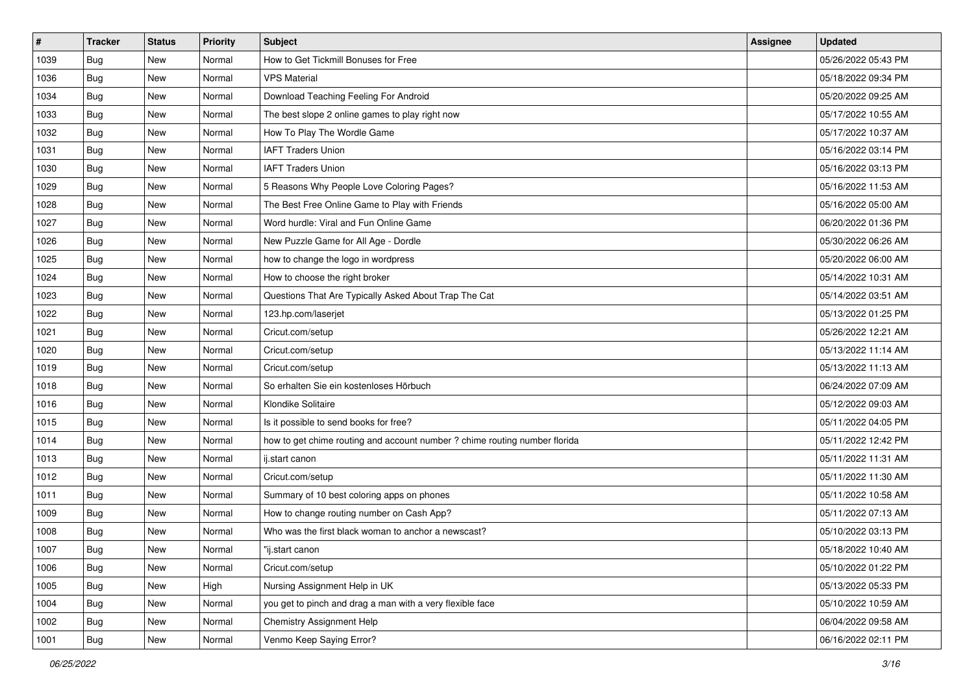| #    | <b>Tracker</b> | <b>Status</b> | Priority | <b>Subject</b>                                                             | <b>Assignee</b> | <b>Updated</b>      |
|------|----------------|---------------|----------|----------------------------------------------------------------------------|-----------------|---------------------|
| 1039 | Bug            | New           | Normal   | How to Get Tickmill Bonuses for Free                                       |                 | 05/26/2022 05:43 PM |
| 1036 | Bug            | New           | Normal   | <b>VPS Material</b>                                                        |                 | 05/18/2022 09:34 PM |
| 1034 | <b>Bug</b>     | New           | Normal   | Download Teaching Feeling For Android                                      |                 | 05/20/2022 09:25 AM |
| 1033 | Bug            | New           | Normal   | The best slope 2 online games to play right now                            |                 | 05/17/2022 10:55 AM |
| 1032 | <b>Bug</b>     | New           | Normal   | How To Play The Wordle Game                                                |                 | 05/17/2022 10:37 AM |
| 1031 | <b>Bug</b>     | New           | Normal   | <b>IAFT Traders Union</b>                                                  |                 | 05/16/2022 03:14 PM |
| 1030 | <b>Bug</b>     | New           | Normal   | <b>IAFT Traders Union</b>                                                  |                 | 05/16/2022 03:13 PM |
| 1029 | Bug            | New           | Normal   | 5 Reasons Why People Love Coloring Pages?                                  |                 | 05/16/2022 11:53 AM |
| 1028 | <b>Bug</b>     | New           | Normal   | The Best Free Online Game to Play with Friends                             |                 | 05/16/2022 05:00 AM |
| 1027 | Bug            | New           | Normal   | Word hurdle: Viral and Fun Online Game                                     |                 | 06/20/2022 01:36 PM |
| 1026 | Bug            | New           | Normal   | New Puzzle Game for All Age - Dordle                                       |                 | 05/30/2022 06:26 AM |
| 1025 | <b>Bug</b>     | New           | Normal   | how to change the logo in wordpress                                        |                 | 05/20/2022 06:00 AM |
| 1024 | Bug            | New           | Normal   | How to choose the right broker                                             |                 | 05/14/2022 10:31 AM |
| 1023 | <b>Bug</b>     | New           | Normal   | Questions That Are Typically Asked About Trap The Cat                      |                 | 05/14/2022 03:51 AM |
| 1022 | <b>Bug</b>     | New           | Normal   | 123.hp.com/laserjet                                                        |                 | 05/13/2022 01:25 PM |
| 1021 | <b>Bug</b>     | New           | Normal   | Cricut.com/setup                                                           |                 | 05/26/2022 12:21 AM |
| 1020 | <b>Bug</b>     | New           | Normal   | Cricut.com/setup                                                           |                 | 05/13/2022 11:14 AM |
| 1019 | Bug            | <b>New</b>    | Normal   | Cricut.com/setup                                                           |                 | 05/13/2022 11:13 AM |
| 1018 | <b>Bug</b>     | New           | Normal   | So erhalten Sie ein kostenloses Hörbuch                                    |                 | 06/24/2022 07:09 AM |
| 1016 | <b>Bug</b>     | New           | Normal   | Klondike Solitaire                                                         |                 | 05/12/2022 09:03 AM |
| 1015 | <b>Bug</b>     | <b>New</b>    | Normal   | Is it possible to send books for free?                                     |                 | 05/11/2022 04:05 PM |
| 1014 | <b>Bug</b>     | New           | Normal   | how to get chime routing and account number ? chime routing number florida |                 | 05/11/2022 12:42 PM |
| 1013 | Bug            | New           | Normal   | ij.start canon                                                             |                 | 05/11/2022 11:31 AM |
| 1012 | <b>Bug</b>     | New           | Normal   | Cricut.com/setup                                                           |                 | 05/11/2022 11:30 AM |
| 1011 | <b>Bug</b>     | New           | Normal   | Summary of 10 best coloring apps on phones                                 |                 | 05/11/2022 10:58 AM |
| 1009 | <b>Bug</b>     | <b>New</b>    | Normal   | How to change routing number on Cash App?                                  |                 | 05/11/2022 07:13 AM |
| 1008 | <b>Bug</b>     | New           | Normal   | Who was the first black woman to anchor a newscast?                        |                 | 05/10/2022 03:13 PM |
| 1007 | Bug            | New           | Normal   | "ij.start canon                                                            |                 | 05/18/2022 10:40 AM |
| 1006 | Bug            | New           | Normal   | Cricut.com/setup                                                           |                 | 05/10/2022 01:22 PM |
| 1005 | <b>Bug</b>     | New           | High     | Nursing Assignment Help in UK                                              |                 | 05/13/2022 05:33 PM |
| 1004 | Bug            | New           | Normal   | you get to pinch and drag a man with a very flexible face                  |                 | 05/10/2022 10:59 AM |
| 1002 | <b>Bug</b>     | New           | Normal   | Chemistry Assignment Help                                                  |                 | 06/04/2022 09:58 AM |
| 1001 | <b>Bug</b>     | New           | Normal   | Venmo Keep Saying Error?                                                   |                 | 06/16/2022 02:11 PM |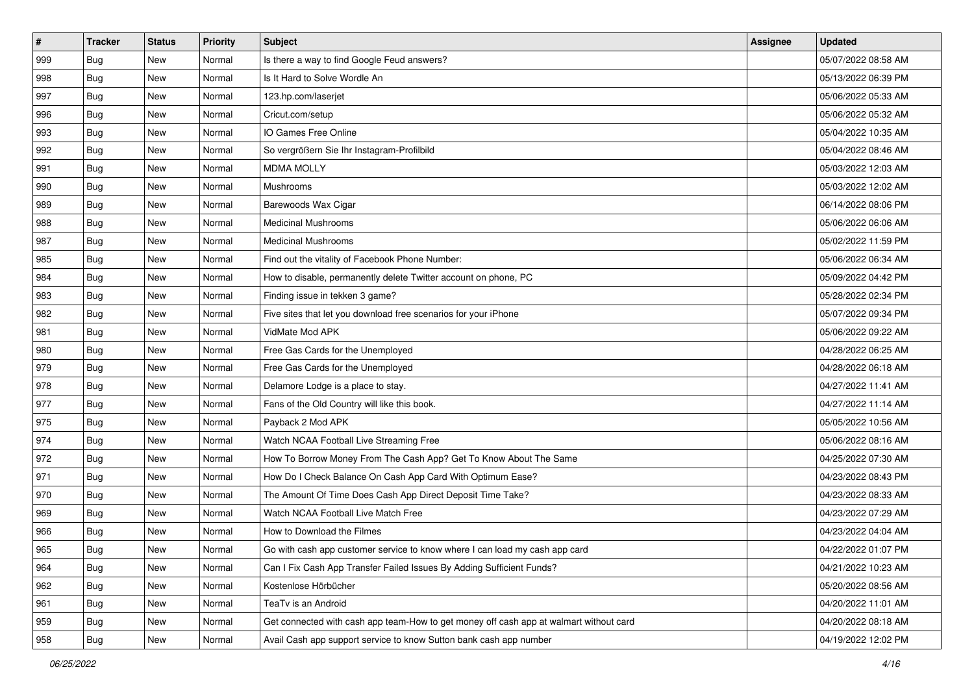| $\vert$ # | <b>Tracker</b> | <b>Status</b> | Priority | Subject                                                                                | <b>Assignee</b> | <b>Updated</b>      |
|-----------|----------------|---------------|----------|----------------------------------------------------------------------------------------|-----------------|---------------------|
| 999       | <b>Bug</b>     | New           | Normal   | Is there a way to find Google Feud answers?                                            |                 | 05/07/2022 08:58 AM |
| 998       | Bug            | New           | Normal   | Is It Hard to Solve Wordle An                                                          |                 | 05/13/2022 06:39 PM |
| 997       | <b>Bug</b>     | New           | Normal   | 123.hp.com/laserjet                                                                    |                 | 05/06/2022 05:33 AM |
| 996       | Bug            | New           | Normal   | Cricut.com/setup                                                                       |                 | 05/06/2022 05:32 AM |
| 993       | Bug            | New           | Normal   | IO Games Free Online                                                                   |                 | 05/04/2022 10:35 AM |
| 992       | <b>Bug</b>     | New           | Normal   | So vergrößern Sie Ihr Instagram-Profilbild                                             |                 | 05/04/2022 08:46 AM |
| 991       | Bug            | New           | Normal   | <b>MDMA MOLLY</b>                                                                      |                 | 05/03/2022 12:03 AM |
| 990       | Bug            | New           | Normal   | Mushrooms                                                                              |                 | 05/03/2022 12:02 AM |
| 989       | Bug            | New           | Normal   | Barewoods Wax Cigar                                                                    |                 | 06/14/2022 08:06 PM |
| 988       | <b>Bug</b>     | New           | Normal   | <b>Medicinal Mushrooms</b>                                                             |                 | 05/06/2022 06:06 AM |
| 987       | <b>Bug</b>     | New           | Normal   | <b>Medicinal Mushrooms</b>                                                             |                 | 05/02/2022 11:59 PM |
| 985       | <b>Bug</b>     | New           | Normal   | Find out the vitality of Facebook Phone Number:                                        |                 | 05/06/2022 06:34 AM |
| 984       | Bug            | <b>New</b>    | Normal   | How to disable, permanently delete Twitter account on phone, PC                        |                 | 05/09/2022 04:42 PM |
| 983       | <b>Bug</b>     | New           | Normal   | Finding issue in tekken 3 game?                                                        |                 | 05/28/2022 02:34 PM |
| 982       | Bug            | New           | Normal   | Five sites that let you download free scenarios for your iPhone                        |                 | 05/07/2022 09:34 PM |
| 981       | <b>Bug</b>     | New           | Normal   | VidMate Mod APK                                                                        |                 | 05/06/2022 09:22 AM |
| 980       | Bug            | New           | Normal   | Free Gas Cards for the Unemployed                                                      |                 | 04/28/2022 06:25 AM |
| 979       | Bug            | New           | Normal   | Free Gas Cards for the Unemployed                                                      |                 | 04/28/2022 06:18 AM |
| 978       | <b>Bug</b>     | New           | Normal   | Delamore Lodge is a place to stay.                                                     |                 | 04/27/2022 11:41 AM |
| 977       | Bug            | New           | Normal   | Fans of the Old Country will like this book.                                           |                 | 04/27/2022 11:14 AM |
| 975       | <b>Bug</b>     | New           | Normal   | Payback 2 Mod APK                                                                      |                 | 05/05/2022 10:56 AM |
| 974       | <b>Bug</b>     | New           | Normal   | Watch NCAA Football Live Streaming Free                                                |                 | 05/06/2022 08:16 AM |
| 972       | Bug            | New           | Normal   | How To Borrow Money From The Cash App? Get To Know About The Same                      |                 | 04/25/2022 07:30 AM |
| 971       | <b>Bug</b>     | New           | Normal   | How Do I Check Balance On Cash App Card With Optimum Ease?                             |                 | 04/23/2022 08:43 PM |
| 970       | <b>Bug</b>     | New           | Normal   | The Amount Of Time Does Cash App Direct Deposit Time Take?                             |                 | 04/23/2022 08:33 AM |
| 969       | <b>Bug</b>     | New           | Normal   | Watch NCAA Football Live Match Free                                                    |                 | 04/23/2022 07:29 AM |
| 966       | <b>Bug</b>     | New           | Normal   | How to Download the Filmes                                                             |                 | 04/23/2022 04:04 AM |
| 965       | <b>Bug</b>     | New           | Normal   | Go with cash app customer service to know where I can load my cash app card            |                 | 04/22/2022 01:07 PM |
| 964       | <b>Bug</b>     | New           | Normal   | Can I Fix Cash App Transfer Failed Issues By Adding Sufficient Funds?                  |                 | 04/21/2022 10:23 AM |
| 962       | <b>Bug</b>     | New           | Normal   | Kostenlose Hörbücher                                                                   |                 | 05/20/2022 08:56 AM |
| 961       | <b>Bug</b>     | New           | Normal   | TeaTv is an Android                                                                    |                 | 04/20/2022 11:01 AM |
| 959       | <b>Bug</b>     | New           | Normal   | Get connected with cash app team-How to get money off cash app at walmart without card |                 | 04/20/2022 08:18 AM |
| 958       | <b>Bug</b>     | New           | Normal   | Avail Cash app support service to know Sutton bank cash app number                     |                 | 04/19/2022 12:02 PM |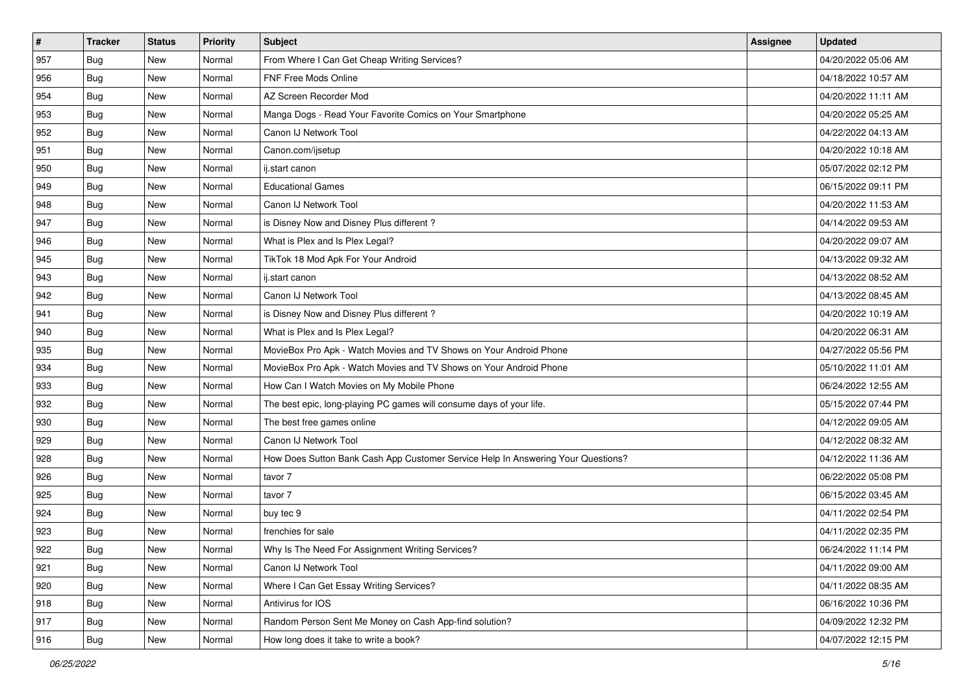| $\sharp$ | <b>Tracker</b> | <b>Status</b> | <b>Priority</b> | <b>Subject</b>                                                                   | <b>Assignee</b> | <b>Updated</b>      |
|----------|----------------|---------------|-----------------|----------------------------------------------------------------------------------|-----------------|---------------------|
| 957      | <b>Bug</b>     | New           | Normal          | From Where I Can Get Cheap Writing Services?                                     |                 | 04/20/2022 05:06 AM |
| 956      | Bug            | New           | Normal          | <b>FNF Free Mods Online</b>                                                      |                 | 04/18/2022 10:57 AM |
| 954      | Bug            | New           | Normal          | AZ Screen Recorder Mod                                                           |                 | 04/20/2022 11:11 AM |
| 953      | <b>Bug</b>     | New           | Normal          | Manga Dogs - Read Your Favorite Comics on Your Smartphone                        |                 | 04/20/2022 05:25 AM |
| 952      | <b>Bug</b>     | New           | Normal          | Canon IJ Network Tool                                                            |                 | 04/22/2022 04:13 AM |
| 951      | <b>Bug</b>     | New           | Normal          | Canon.com/ijsetup                                                                |                 | 04/20/2022 10:18 AM |
| 950      | Bug            | New           | Normal          | ij.start canon                                                                   |                 | 05/07/2022 02:12 PM |
| 949      | <b>Bug</b>     | New           | Normal          | <b>Educational Games</b>                                                         |                 | 06/15/2022 09:11 PM |
| 948      | <b>Bug</b>     | New           | Normal          | Canon IJ Network Tool                                                            |                 | 04/20/2022 11:53 AM |
| 947      | <b>Bug</b>     | <b>New</b>    | Normal          | is Disney Now and Disney Plus different?                                         |                 | 04/14/2022 09:53 AM |
| 946      | <b>Bug</b>     | New           | Normal          | What is Plex and Is Plex Legal?                                                  |                 | 04/20/2022 09:07 AM |
| 945      | <b>Bug</b>     | New           | Normal          | TikTok 18 Mod Apk For Your Android                                               |                 | 04/13/2022 09:32 AM |
| 943      | Bug            | New           | Normal          | ij.start canon                                                                   |                 | 04/13/2022 08:52 AM |
| 942      | <b>Bug</b>     | New           | Normal          | Canon IJ Network Tool                                                            |                 | 04/13/2022 08:45 AM |
| 941      | <b>Bug</b>     | New           | Normal          | is Disney Now and Disney Plus different?                                         |                 | 04/20/2022 10:19 AM |
| 940      | Bug            | New           | Normal          | What is Plex and Is Plex Legal?                                                  |                 | 04/20/2022 06:31 AM |
| 935      | <b>Bug</b>     | New           | Normal          | MovieBox Pro Apk - Watch Movies and TV Shows on Your Android Phone               |                 | 04/27/2022 05:56 PM |
| 934      | Bug            | New           | Normal          | MovieBox Pro Apk - Watch Movies and TV Shows on Your Android Phone               |                 | 05/10/2022 11:01 AM |
| 933      | <b>Bug</b>     | New           | Normal          | How Can I Watch Movies on My Mobile Phone                                        |                 | 06/24/2022 12:55 AM |
| 932      | Bug            | New           | Normal          | The best epic, long-playing PC games will consume days of your life.             |                 | 05/15/2022 07:44 PM |
| 930      | <b>Bug</b>     | New           | Normal          | The best free games online                                                       |                 | 04/12/2022 09:05 AM |
| 929      | Bug            | New           | Normal          | Canon IJ Network Tool                                                            |                 | 04/12/2022 08:32 AM |
| 928      | Bug            | New           | Normal          | How Does Sutton Bank Cash App Customer Service Help In Answering Your Questions? |                 | 04/12/2022 11:36 AM |
| 926      | <b>Bug</b>     | New           | Normal          | tavor 7                                                                          |                 | 06/22/2022 05:08 PM |
| 925      | Bug            | New           | Normal          | tavor 7                                                                          |                 | 06/15/2022 03:45 AM |
| 924      | Bug            | New           | Normal          | buy tec 9                                                                        |                 | 04/11/2022 02:54 PM |
| 923      | <b>Bug</b>     | New           | Normal          | frenchies for sale                                                               |                 | 04/11/2022 02:35 PM |
| 922      | <b>Bug</b>     | New           | Normal          | Why Is The Need For Assignment Writing Services?                                 |                 | 06/24/2022 11:14 PM |
| 921      | <b>Bug</b>     | New           | Normal          | Canon IJ Network Tool                                                            |                 | 04/11/2022 09:00 AM |
| 920      | <b>Bug</b>     | New           | Normal          | Where I Can Get Essay Writing Services?                                          |                 | 04/11/2022 08:35 AM |
| 918      | Bug            | New           | Normal          | Antivirus for IOS                                                                |                 | 06/16/2022 10:36 PM |
| 917      | <b>Bug</b>     | New           | Normal          | Random Person Sent Me Money on Cash App-find solution?                           |                 | 04/09/2022 12:32 PM |
| 916      | <b>Bug</b>     | New           | Normal          | How long does it take to write a book?                                           |                 | 04/07/2022 12:15 PM |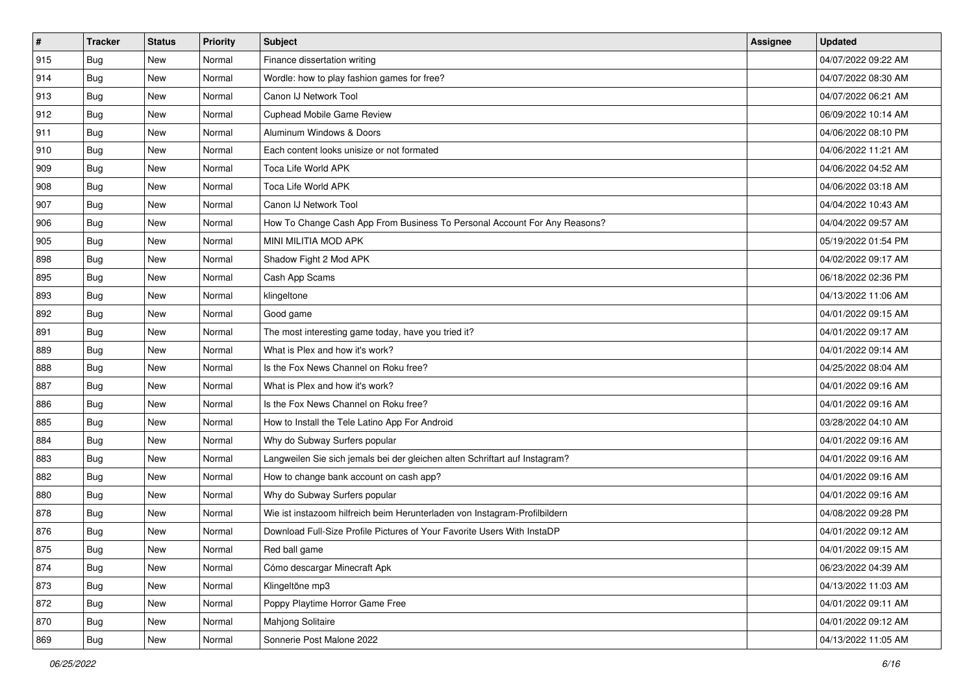| $\vert$ # | <b>Tracker</b> | <b>Status</b> | <b>Priority</b> | <b>Subject</b>                                                              | <b>Assignee</b> | <b>Updated</b>      |
|-----------|----------------|---------------|-----------------|-----------------------------------------------------------------------------|-----------------|---------------------|
| 915       | <b>Bug</b>     | New           | Normal          | Finance dissertation writing                                                |                 | 04/07/2022 09:22 AM |
| 914       | <b>Bug</b>     | New           | Normal          | Wordle: how to play fashion games for free?                                 |                 | 04/07/2022 08:30 AM |
| 913       | Bug            | New           | Normal          | Canon IJ Network Tool                                                       |                 | 04/07/2022 06:21 AM |
| 912       | Bug            | <b>New</b>    | Normal          | <b>Cuphead Mobile Game Review</b>                                           |                 | 06/09/2022 10:14 AM |
| 911       | Bug            | New           | Normal          | Aluminum Windows & Doors                                                    |                 | 04/06/2022 08:10 PM |
| 910       | <b>Bug</b>     | New           | Normal          | Each content looks unisize or not formated                                  |                 | 04/06/2022 11:21 AM |
| 909       | Bug            | New           | Normal          | Toca Life World APK                                                         |                 | 04/06/2022 04:52 AM |
| 908       | <b>Bug</b>     | New           | Normal          | Toca Life World APK                                                         |                 | 04/06/2022 03:18 AM |
| 907       | Bug            | New           | Normal          | Canon IJ Network Tool                                                       |                 | 04/04/2022 10:43 AM |
| 906       | Bug            | New           | Normal          | How To Change Cash App From Business To Personal Account For Any Reasons?   |                 | 04/04/2022 09:57 AM |
| 905       | <b>Bug</b>     | New           | Normal          | MINI MILITIA MOD APK                                                        |                 | 05/19/2022 01:54 PM |
| 898       | Bug            | New           | Normal          | Shadow Fight 2 Mod APK                                                      |                 | 04/02/2022 09:17 AM |
| 895       | Bug            | New           | Normal          | Cash App Scams                                                              |                 | 06/18/2022 02:36 PM |
| 893       | <b>Bug</b>     | New           | Normal          | klingeltone                                                                 |                 | 04/13/2022 11:06 AM |
| 892       | <b>Bug</b>     | <b>New</b>    | Normal          | Good game                                                                   |                 | 04/01/2022 09:15 AM |
| 891       | Bug            | New           | Normal          | The most interesting game today, have you tried it?                         |                 | 04/01/2022 09:17 AM |
| 889       | <b>Bug</b>     | <b>New</b>    | Normal          | What is Plex and how it's work?                                             |                 | 04/01/2022 09:14 AM |
| 888       | Bug            | New           | Normal          | Is the Fox News Channel on Roku free?                                       |                 | 04/25/2022 08:04 AM |
| 887       | <b>Bug</b>     | New           | Normal          | What is Plex and how it's work?                                             |                 | 04/01/2022 09:16 AM |
| 886       | Bug            | New           | Normal          | Is the Fox News Channel on Roku free?                                       |                 | 04/01/2022 09:16 AM |
| 885       | <b>Bug</b>     | New           | Normal          | How to Install the Tele Latino App For Android                              |                 | 03/28/2022 04:10 AM |
| 884       | Bug            | New           | Normal          | Why do Subway Surfers popular                                               |                 | 04/01/2022 09:16 AM |
| 883       | Bug            | New           | Normal          | Langweilen Sie sich jemals bei der gleichen alten Schriftart auf Instagram? |                 | 04/01/2022 09:16 AM |
| 882       | <b>Bug</b>     | New           | Normal          | How to change bank account on cash app?                                     |                 | 04/01/2022 09:16 AM |
| 880       | Bug            | New           | Normal          | Why do Subway Surfers popular                                               |                 | 04/01/2022 09:16 AM |
| 878       | Bug            | New           | Normal          | Wie ist instazoom hilfreich beim Herunterladen von Instagram-Profilbildern  |                 | 04/08/2022 09:28 PM |
| 876       | <b>Bug</b>     | New           | Normal          | Download Full-Size Profile Pictures of Your Favorite Users With InstaDP     |                 | 04/01/2022 09:12 AM |
| 875       | <b>Bug</b>     | New           | Normal          | Red ball game                                                               |                 | 04/01/2022 09:15 AM |
| 874       | <b>Bug</b>     | New           | Normal          | Cómo descargar Minecraft Apk                                                |                 | 06/23/2022 04:39 AM |
| 873       | <b>Bug</b>     | New           | Normal          | Klingeltöne mp3                                                             |                 | 04/13/2022 11:03 AM |
| 872       | Bug            | New           | Normal          | Poppy Playtime Horror Game Free                                             |                 | 04/01/2022 09:11 AM |
| 870       | <b>Bug</b>     | New           | Normal          | Mahjong Solitaire                                                           |                 | 04/01/2022 09:12 AM |
| 869       | <b>Bug</b>     | New           | Normal          | Sonnerie Post Malone 2022                                                   |                 | 04/13/2022 11:05 AM |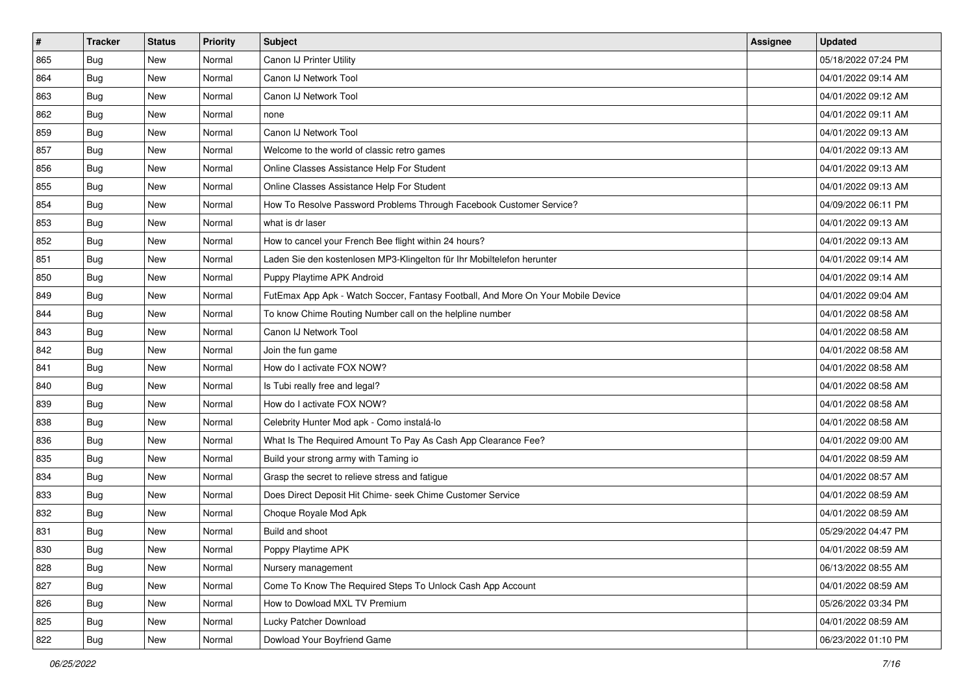| $\sharp$ | <b>Tracker</b> | <b>Status</b> | Priority | <b>Subject</b>                                                                   | <b>Assignee</b> | <b>Updated</b>      |
|----------|----------------|---------------|----------|----------------------------------------------------------------------------------|-----------------|---------------------|
| 865      | <b>Bug</b>     | New           | Normal   | Canon IJ Printer Utility                                                         |                 | 05/18/2022 07:24 PM |
| 864      | Bug            | New           | Normal   | Canon IJ Network Tool                                                            |                 | 04/01/2022 09:14 AM |
| 863      | Bug            | New           | Normal   | Canon IJ Network Tool                                                            |                 | 04/01/2022 09:12 AM |
| 862      | Bug            | <b>New</b>    | Normal   | none                                                                             |                 | 04/01/2022 09:11 AM |
| 859      | Bug            | New           | Normal   | Canon IJ Network Tool                                                            |                 | 04/01/2022 09:13 AM |
| 857      | <b>Bug</b>     | New           | Normal   | Welcome to the world of classic retro games                                      |                 | 04/01/2022 09:13 AM |
| 856      | Bug            | New           | Normal   | Online Classes Assistance Help For Student                                       |                 | 04/01/2022 09:13 AM |
| 855      | Bug            | New           | Normal   | Online Classes Assistance Help For Student                                       |                 | 04/01/2022 09:13 AM |
| 854      | Bug            | New           | Normal   | How To Resolve Password Problems Through Facebook Customer Service?              |                 | 04/09/2022 06:11 PM |
| 853      | Bug            | New           | Normal   | what is dr laser                                                                 |                 | 04/01/2022 09:13 AM |
| 852      | <b>Bug</b>     | New           | Normal   | How to cancel your French Bee flight within 24 hours?                            |                 | 04/01/2022 09:13 AM |
| 851      | Bug            | New           | Normal   | Laden Sie den kostenlosen MP3-Klingelton für Ihr Mobiltelefon herunter           |                 | 04/01/2022 09:14 AM |
| 850      | Bug            | New           | Normal   | Puppy Playtime APK Android                                                       |                 | 04/01/2022 09:14 AM |
| 849      | <b>Bug</b>     | New           | Normal   | FutEmax App Apk - Watch Soccer, Fantasy Football, And More On Your Mobile Device |                 | 04/01/2022 09:04 AM |
| 844      | <b>Bug</b>     | <b>New</b>    | Normal   | To know Chime Routing Number call on the helpline number                         |                 | 04/01/2022 08:58 AM |
| 843      | Bug            | New           | Normal   | Canon IJ Network Tool                                                            |                 | 04/01/2022 08:58 AM |
| 842      | <b>Bug</b>     | <b>New</b>    | Normal   | Join the fun game                                                                |                 | 04/01/2022 08:58 AM |
| 841      | Bug            | New           | Normal   | How do I activate FOX NOW?                                                       |                 | 04/01/2022 08:58 AM |
| 840      | <b>Bug</b>     | New           | Normal   | Is Tubi really free and legal?                                                   |                 | 04/01/2022 08:58 AM |
| 839      | Bug            | New           | Normal   | How do I activate FOX NOW?                                                       |                 | 04/01/2022 08:58 AM |
| 838      | <b>Bug</b>     | New           | Normal   | Celebrity Hunter Mod apk - Como instalá-lo                                       |                 | 04/01/2022 08:58 AM |
| 836      | Bug            | New           | Normal   | What Is The Required Amount To Pay As Cash App Clearance Fee?                    |                 | 04/01/2022 09:00 AM |
| 835      | Bug            | New           | Normal   | Build your strong army with Taming io                                            |                 | 04/01/2022 08:59 AM |
| 834      | <b>Bug</b>     | New           | Normal   | Grasp the secret to relieve stress and fatigue                                   |                 | 04/01/2022 08:57 AM |
| 833      | Bug            | New           | Normal   | Does Direct Deposit Hit Chime- seek Chime Customer Service                       |                 | 04/01/2022 08:59 AM |
| 832      | Bug            | New           | Normal   | Choque Royale Mod Apk                                                            |                 | 04/01/2022 08:59 AM |
| 831      | <b>Bug</b>     | New           | Normal   | Build and shoot                                                                  |                 | 05/29/2022 04:47 PM |
| 830      | <b>Bug</b>     | New           | Normal   | Poppy Playtime APK                                                               |                 | 04/01/2022 08:59 AM |
| 828      | <b>Bug</b>     | New           | Normal   | Nursery management                                                               |                 | 06/13/2022 08:55 AM |
| 827      | <b>Bug</b>     | New           | Normal   | Come To Know The Required Steps To Unlock Cash App Account                       |                 | 04/01/2022 08:59 AM |
| 826      | <b>Bug</b>     | New           | Normal   | How to Dowload MXL TV Premium                                                    |                 | 05/26/2022 03:34 PM |
| 825      | <b>Bug</b>     | New           | Normal   | Lucky Patcher Download                                                           |                 | 04/01/2022 08:59 AM |
| 822      | <b>Bug</b>     | New           | Normal   | Dowload Your Boyfriend Game                                                      |                 | 06/23/2022 01:10 PM |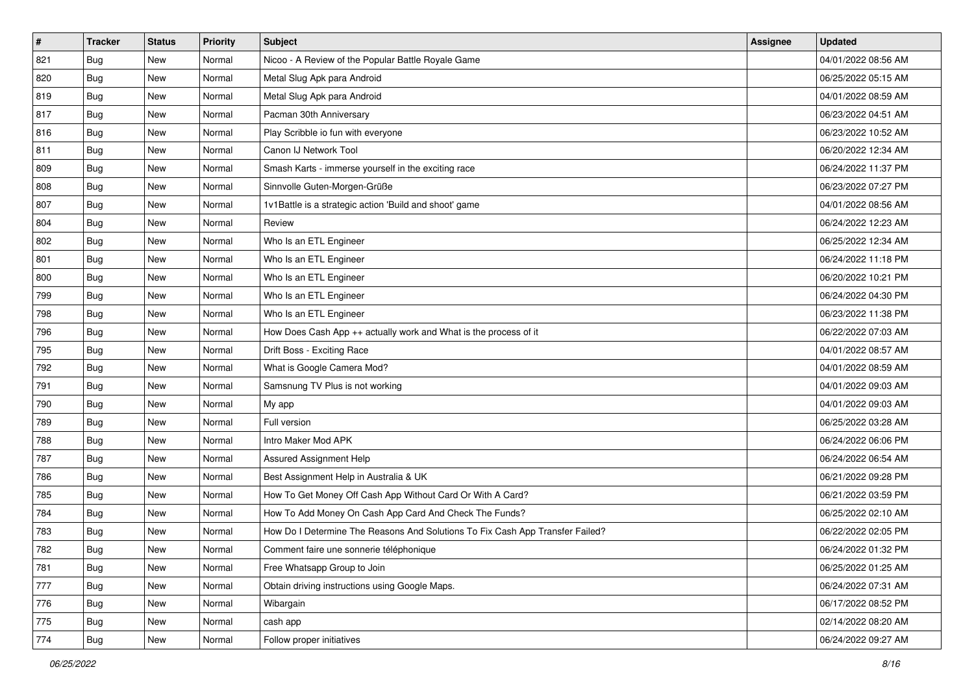| $\sharp$ | <b>Tracker</b> | <b>Status</b> | Priority | <b>Subject</b>                                                                | <b>Assignee</b> | <b>Updated</b>      |
|----------|----------------|---------------|----------|-------------------------------------------------------------------------------|-----------------|---------------------|
| 821      | <b>Bug</b>     | New           | Normal   | Nicoo - A Review of the Popular Battle Royale Game                            |                 | 04/01/2022 08:56 AM |
| 820      | Bug            | New           | Normal   | Metal Slug Apk para Android                                                   |                 | 06/25/2022 05:15 AM |
| 819      | Bug            | New           | Normal   | Metal Slug Apk para Android                                                   |                 | 04/01/2022 08:59 AM |
| 817      | Bug            | <b>New</b>    | Normal   | Pacman 30th Anniversary                                                       |                 | 06/23/2022 04:51 AM |
| 816      | Bug            | New           | Normal   | Play Scribble io fun with everyone                                            |                 | 06/23/2022 10:52 AM |
| 811      | <b>Bug</b>     | New           | Normal   | Canon IJ Network Tool                                                         |                 | 06/20/2022 12:34 AM |
| 809      | Bug            | New           | Normal   | Smash Karts - immerse yourself in the exciting race                           |                 | 06/24/2022 11:37 PM |
| 808      | <b>Bug</b>     | New           | Normal   | Sinnvolle Guten-Morgen-Grüße                                                  |                 | 06/23/2022 07:27 PM |
| 807      | Bug            | New           | Normal   | 1v1Battle is a strategic action 'Build and shoot' game                        |                 | 04/01/2022 08:56 AM |
| 804      | Bug            | New           | Normal   | Review                                                                        |                 | 06/24/2022 12:23 AM |
| 802      | <b>Bug</b>     | New           | Normal   | Who Is an ETL Engineer                                                        |                 | 06/25/2022 12:34 AM |
| 801      | Bug            | New           | Normal   | Who Is an ETL Engineer                                                        |                 | 06/24/2022 11:18 PM |
| 800      | Bug            | New           | Normal   | Who Is an ETL Engineer                                                        |                 | 06/20/2022 10:21 PM |
| 799      | <b>Bug</b>     | New           | Normal   | Who Is an ETL Engineer                                                        |                 | 06/24/2022 04:30 PM |
| 798      | <b>Bug</b>     | <b>New</b>    | Normal   | Who Is an ETL Engineer                                                        |                 | 06/23/2022 11:38 PM |
| 796      | Bug            | New           | Normal   | How Does Cash App ++ actually work and What is the process of it              |                 | 06/22/2022 07:03 AM |
| 795      | <b>Bug</b>     | <b>New</b>    | Normal   | Drift Boss - Exciting Race                                                    |                 | 04/01/2022 08:57 AM |
| 792      | Bug            | New           | Normal   | What is Google Camera Mod?                                                    |                 | 04/01/2022 08:59 AM |
| 791      | <b>Bug</b>     | New           | Normal   | Samsnung TV Plus is not working                                               |                 | 04/01/2022 09:03 AM |
| 790      | Bug            | New           | Normal   | My app                                                                        |                 | 04/01/2022 09:03 AM |
| 789      | <b>Bug</b>     | New           | Normal   | Full version                                                                  |                 | 06/25/2022 03:28 AM |
| 788      | Bug            | New           | Normal   | Intro Maker Mod APK                                                           |                 | 06/24/2022 06:06 PM |
| 787      | Bug            | New           | Normal   | Assured Assignment Help                                                       |                 | 06/24/2022 06:54 AM |
| 786      | <b>Bug</b>     | New           | Normal   | Best Assignment Help in Australia & UK                                        |                 | 06/21/2022 09:28 PM |
| 785      | Bug            | New           | Normal   | How To Get Money Off Cash App Without Card Or With A Card?                    |                 | 06/21/2022 03:59 PM |
| 784      | Bug            | New           | Normal   | How To Add Money On Cash App Card And Check The Funds?                        |                 | 06/25/2022 02:10 AM |
| 783      | <b>Bug</b>     | New           | Normal   | How Do I Determine The Reasons And Solutions To Fix Cash App Transfer Failed? |                 | 06/22/2022 02:05 PM |
| 782      | <b>Bug</b>     | New           | Normal   | Comment faire une sonnerie téléphonique                                       |                 | 06/24/2022 01:32 PM |
| 781      | <b>Bug</b>     | New           | Normal   | Free Whatsapp Group to Join                                                   |                 | 06/25/2022 01:25 AM |
| 777      | <b>Bug</b>     | New           | Normal   | Obtain driving instructions using Google Maps.                                |                 | 06/24/2022 07:31 AM |
| 776      | <b>Bug</b>     | New           | Normal   | Wibargain                                                                     |                 | 06/17/2022 08:52 PM |
| 775      | <b>Bug</b>     | New           | Normal   | cash app                                                                      |                 | 02/14/2022 08:20 AM |
| 774      | <b>Bug</b>     | New           | Normal   | Follow proper initiatives                                                     |                 | 06/24/2022 09:27 AM |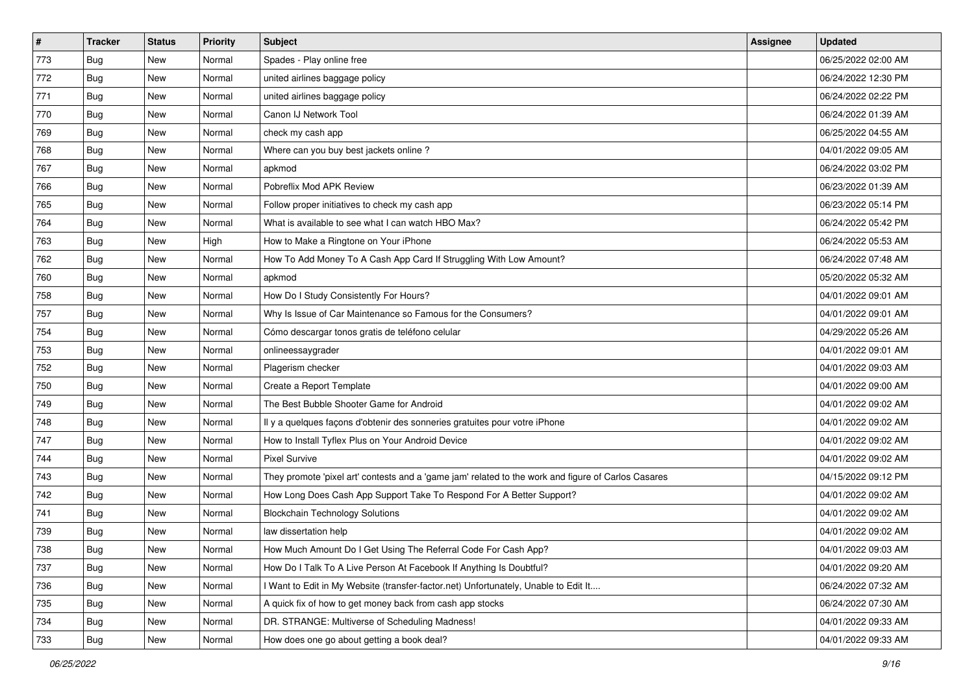| $\vert$ # | <b>Tracker</b> | <b>Status</b> | Priority | <b>Subject</b>                                                                                      | <b>Assignee</b> | <b>Updated</b>      |
|-----------|----------------|---------------|----------|-----------------------------------------------------------------------------------------------------|-----------------|---------------------|
| 773       | <b>Bug</b>     | New           | Normal   | Spades - Play online free                                                                           |                 | 06/25/2022 02:00 AM |
| 772       | <b>Bug</b>     | New           | Normal   | united airlines baggage policy                                                                      |                 | 06/24/2022 12:30 PM |
| 771       | Bug            | New           | Normal   | united airlines baggage policy                                                                      |                 | 06/24/2022 02:22 PM |
| 770       | <b>Bug</b>     | New           | Normal   | Canon IJ Network Tool                                                                               |                 | 06/24/2022 01:39 AM |
| 769       | <b>Bug</b>     | New           | Normal   | check my cash app                                                                                   |                 | 06/25/2022 04:55 AM |
| 768       | <b>Bug</b>     | New           | Normal   | Where can you buy best jackets online?                                                              |                 | 04/01/2022 09:05 AM |
| 767       | Bug            | New           | Normal   | apkmod                                                                                              |                 | 06/24/2022 03:02 PM |
| 766       | <b>Bug</b>     | New           | Normal   | Pobreflix Mod APK Review                                                                            |                 | 06/23/2022 01:39 AM |
| 765       | <b>Bug</b>     | New           | Normal   | Follow proper initiatives to check my cash app                                                      |                 | 06/23/2022 05:14 PM |
| 764       | Bug            | New           | Normal   | What is available to see what I can watch HBO Max?                                                  |                 | 06/24/2022 05:42 PM |
| 763       | <b>Bug</b>     | New           | High     | How to Make a Ringtone on Your iPhone                                                               |                 | 06/24/2022 05:53 AM |
| 762       | Bug            | New           | Normal   | How To Add Money To A Cash App Card If Struggling With Low Amount?                                  |                 | 06/24/2022 07:48 AM |
| 760       | <b>Bug</b>     | New           | Normal   | apkmod                                                                                              |                 | 05/20/2022 05:32 AM |
| 758       | <b>Bug</b>     | New           | Normal   | How Do I Study Consistently For Hours?                                                              |                 | 04/01/2022 09:01 AM |
| 757       | <b>Bug</b>     | New           | Normal   | Why Is Issue of Car Maintenance so Famous for the Consumers?                                        |                 | 04/01/2022 09:01 AM |
| 754       | Bug            | New           | Normal   | Cómo descargar tonos gratis de teléfono celular                                                     |                 | 04/29/2022 05:26 AM |
| 753       | <b>Bug</b>     | New           | Normal   | onlineessaygrader                                                                                   |                 | 04/01/2022 09:01 AM |
| 752       | <b>Bug</b>     | New           | Normal   | Plagerism checker                                                                                   |                 | 04/01/2022 09:03 AM |
| 750       | Bug            | New           | Normal   | Create a Report Template                                                                            |                 | 04/01/2022 09:00 AM |
| 749       | <b>Bug</b>     | New           | Normal   | The Best Bubble Shooter Game for Android                                                            |                 | 04/01/2022 09:02 AM |
| 748       | <b>Bug</b>     | New           | Normal   | Il y a quelques façons d'obtenir des sonneries gratuites pour votre iPhone                          |                 | 04/01/2022 09:02 AM |
| 747       | <b>Bug</b>     | New           | Normal   | How to Install Tyflex Plus on Your Android Device                                                   |                 | 04/01/2022 09:02 AM |
| 744       | Bug            | New           | Normal   | <b>Pixel Survive</b>                                                                                |                 | 04/01/2022 09:02 AM |
| 743       | <b>Bug</b>     | New           | Normal   | They promote 'pixel art' contests and a 'game jam' related to the work and figure of Carlos Casares |                 | 04/15/2022 09:12 PM |
| 742       | Bug            | New           | Normal   | How Long Does Cash App Support Take To Respond For A Better Support?                                |                 | 04/01/2022 09:02 AM |
| 741       | <b>Bug</b>     | New           | Normal   | <b>Blockchain Technology Solutions</b>                                                              |                 | 04/01/2022 09:02 AM |
| 739       | <b>Bug</b>     | New           | Normal   | law dissertation help                                                                               |                 | 04/01/2022 09:02 AM |
| 738       | Bug            | New           | Normal   | How Much Amount Do I Get Using The Referral Code For Cash App?                                      |                 | 04/01/2022 09:03 AM |
| 737       | Bug            | New           | Normal   | How Do I Talk To A Live Person At Facebook If Anything Is Doubtful?                                 |                 | 04/01/2022 09:20 AM |
| 736       | Bug            | New           | Normal   | Want to Edit in My Website (transfer-factor.net) Unfortunately, Unable to Edit It                   |                 | 06/24/2022 07:32 AM |
| 735       | <b>Bug</b>     | New           | Normal   | A quick fix of how to get money back from cash app stocks                                           |                 | 06/24/2022 07:30 AM |
| 734       | <b>Bug</b>     | New           | Normal   | DR. STRANGE: Multiverse of Scheduling Madness!                                                      |                 | 04/01/2022 09:33 AM |
| 733       | <b>Bug</b>     | New           | Normal   | How does one go about getting a book deal?                                                          |                 | 04/01/2022 09:33 AM |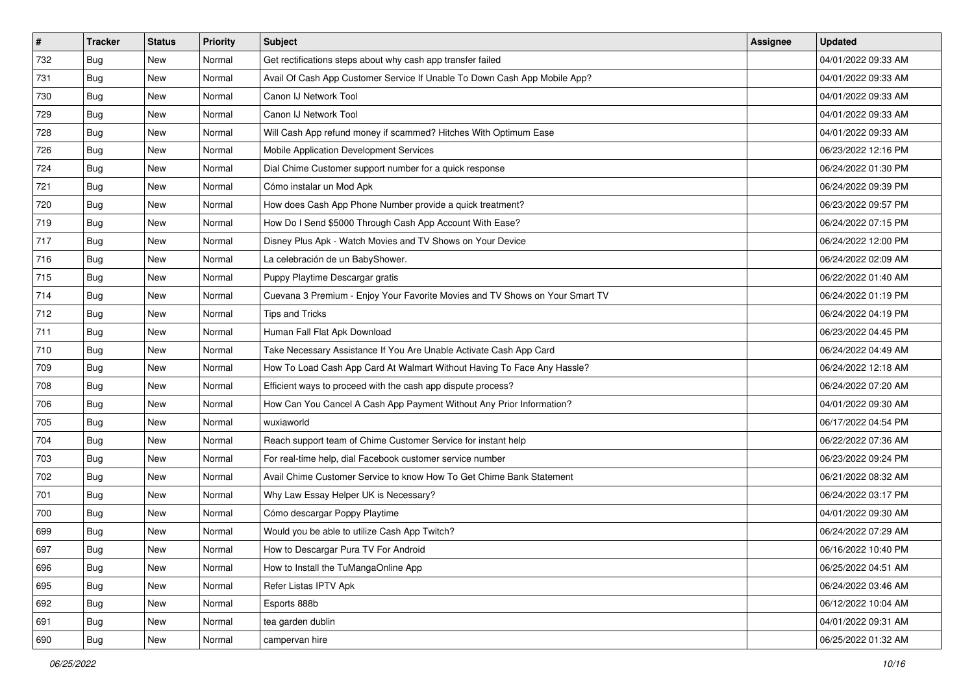| $\vert$ # | <b>Tracker</b> | <b>Status</b> | Priority | Subject                                                                      | <b>Assignee</b> | <b>Updated</b>      |
|-----------|----------------|---------------|----------|------------------------------------------------------------------------------|-----------------|---------------------|
| 732       | <b>Bug</b>     | New           | Normal   | Get rectifications steps about why cash app transfer failed                  |                 | 04/01/2022 09:33 AM |
| 731       | <b>Bug</b>     | New           | Normal   | Avail Of Cash App Customer Service If Unable To Down Cash App Mobile App?    |                 | 04/01/2022 09:33 AM |
| 730       | <b>Bug</b>     | New           | Normal   | Canon IJ Network Tool                                                        |                 | 04/01/2022 09:33 AM |
| 729       | <b>Bug</b>     | <b>New</b>    | Normal   | Canon IJ Network Tool                                                        |                 | 04/01/2022 09:33 AM |
| 728       | <b>Bug</b>     | New           | Normal   | Will Cash App refund money if scammed? Hitches With Optimum Ease             |                 | 04/01/2022 09:33 AM |
| 726       | <b>Bug</b>     | New           | Normal   | Mobile Application Development Services                                      |                 | 06/23/2022 12:16 PM |
| 724       | Bug            | New           | Normal   | Dial Chime Customer support number for a quick response                      |                 | 06/24/2022 01:30 PM |
| 721       | <b>Bug</b>     | New           | Normal   | Cómo instalar un Mod Apk                                                     |                 | 06/24/2022 09:39 PM |
| 720       | <b>Bug</b>     | New           | Normal   | How does Cash App Phone Number provide a quick treatment?                    |                 | 06/23/2022 09:57 PM |
| 719       | <b>Bug</b>     | New           | Normal   | How Do I Send \$5000 Through Cash App Account With Ease?                     |                 | 06/24/2022 07:15 PM |
| 717       | <b>Bug</b>     | New           | Normal   | Disney Plus Apk - Watch Movies and TV Shows on Your Device                   |                 | 06/24/2022 12:00 PM |
| 716       | Bug            | New           | Normal   | La celebración de un BabyShower.                                             |                 | 06/24/2022 02:09 AM |
| 715       | Bug            | New           | Normal   | Puppy Playtime Descargar gratis                                              |                 | 06/22/2022 01:40 AM |
| 714       | <b>Bug</b>     | New           | Normal   | Cuevana 3 Premium - Enjoy Your Favorite Movies and TV Shows on Your Smart TV |                 | 06/24/2022 01:19 PM |
| 712       | <b>Bug</b>     | New           | Normal   | <b>Tips and Tricks</b>                                                       |                 | 06/24/2022 04:19 PM |
| 711       | Bug            | New           | Normal   | Human Fall Flat Apk Download                                                 |                 | 06/23/2022 04:45 PM |
| 710       | <b>Bug</b>     | New           | Normal   | Take Necessary Assistance If You Are Unable Activate Cash App Card           |                 | 06/24/2022 04:49 AM |
| 709       | Bug            | New           | Normal   | How To Load Cash App Card At Walmart Without Having To Face Any Hassle?      |                 | 06/24/2022 12:18 AM |
| 708       | <b>Bug</b>     | New           | Normal   | Efficient ways to proceed with the cash app dispute process?                 |                 | 06/24/2022 07:20 AM |
| 706       | <b>Bug</b>     | New           | Normal   | How Can You Cancel A Cash App Payment Without Any Prior Information?         |                 | 04/01/2022 09:30 AM |
| 705       | <b>Bug</b>     | New           | Normal   | wuxiaworld                                                                   |                 | 06/17/2022 04:54 PM |
| 704       | <b>Bug</b>     | New           | Normal   | Reach support team of Chime Customer Service for instant help                |                 | 06/22/2022 07:36 AM |
| 703       | Bug            | New           | Normal   | For real-time help, dial Facebook customer service number                    |                 | 06/23/2022 09:24 PM |
| 702       | <b>Bug</b>     | New           | Normal   | Avail Chime Customer Service to know How To Get Chime Bank Statement         |                 | 06/21/2022 08:32 AM |
| 701       | <b>Bug</b>     | New           | Normal   | Why Law Essay Helper UK is Necessary?                                        |                 | 06/24/2022 03:17 PM |
| 700       | <b>Bug</b>     | New           | Normal   | Cómo descargar Poppy Playtime                                                |                 | 04/01/2022 09:30 AM |
| 699       | <b>Bug</b>     | New           | Normal   | Would you be able to utilize Cash App Twitch?                                |                 | 06/24/2022 07:29 AM |
| 697       | <b>Bug</b>     | New           | Normal   | How to Descargar Pura TV For Android                                         |                 | 06/16/2022 10:40 PM |
| 696       | Bug            | New           | Normal   | How to Install the TuMangaOnline App                                         |                 | 06/25/2022 04:51 AM |
| 695       | Bug            | New           | Normal   | Refer Listas IPTV Apk                                                        |                 | 06/24/2022 03:46 AM |
| 692       | Bug            | New           | Normal   | Esports 888b                                                                 |                 | 06/12/2022 10:04 AM |
| 691       | Bug            | New           | Normal   | tea garden dublin                                                            |                 | 04/01/2022 09:31 AM |
| 690       | <b>Bug</b>     | New           | Normal   | campervan hire                                                               |                 | 06/25/2022 01:32 AM |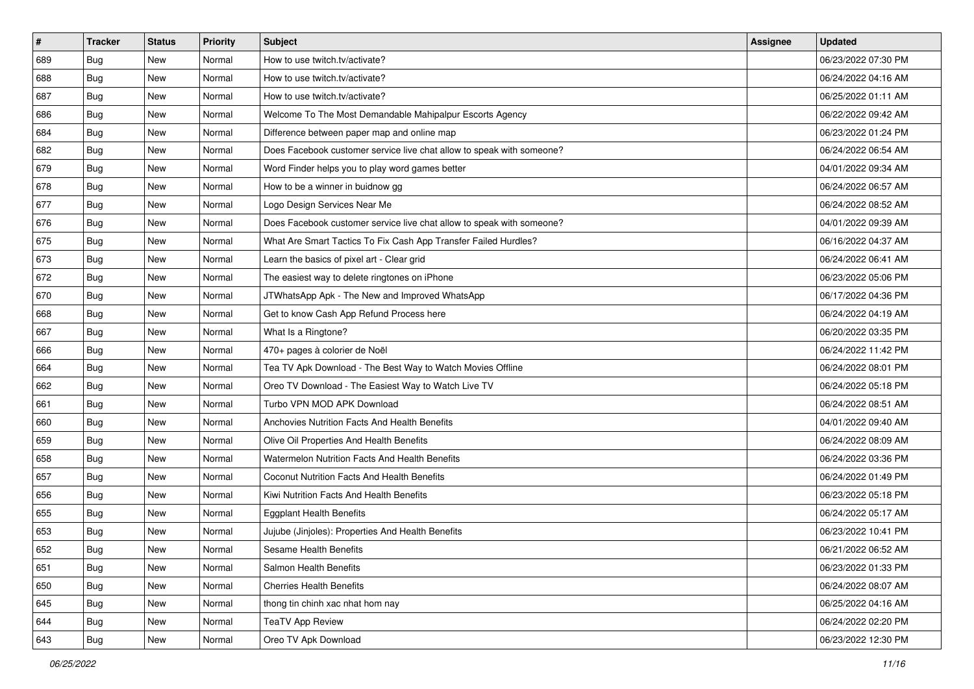| $\sharp$ | <b>Tracker</b> | <b>Status</b> | Priority | <b>Subject</b>                                                        | <b>Assignee</b> | <b>Updated</b>      |
|----------|----------------|---------------|----------|-----------------------------------------------------------------------|-----------------|---------------------|
| 689      | <b>Bug</b>     | New           | Normal   | How to use twitch.tv/activate?                                        |                 | 06/23/2022 07:30 PM |
| 688      | Bug            | New           | Normal   | How to use twitch.tv/activate?                                        |                 | 06/24/2022 04:16 AM |
| 687      | Bug            | New           | Normal   | How to use twitch.tv/activate?                                        |                 | 06/25/2022 01:11 AM |
| 686      | <b>Bug</b>     | <b>New</b>    | Normal   | Welcome To The Most Demandable Mahipalpur Escorts Agency              |                 | 06/22/2022 09:42 AM |
| 684      | Bug            | New           | Normal   | Difference between paper map and online map                           |                 | 06/23/2022 01:24 PM |
| 682      | <b>Bug</b>     | <b>New</b>    | Normal   | Does Facebook customer service live chat allow to speak with someone? |                 | 06/24/2022 06:54 AM |
| 679      | Bug            | New           | Normal   | Word Finder helps you to play word games better                       |                 | 04/01/2022 09:34 AM |
| 678      | <b>Bug</b>     | New           | Normal   | How to be a winner in buidnow gg                                      |                 | 06/24/2022 06:57 AM |
| 677      | Bug            | New           | Normal   | Logo Design Services Near Me                                          |                 | 06/24/2022 08:52 AM |
| 676      | Bug            | New           | Normal   | Does Facebook customer service live chat allow to speak with someone? |                 | 04/01/2022 09:39 AM |
| 675      | <b>Bug</b>     | New           | Normal   | What Are Smart Tactics To Fix Cash App Transfer Failed Hurdles?       |                 | 06/16/2022 04:37 AM |
| 673      | Bug            | New           | Normal   | Learn the basics of pixel art - Clear grid                            |                 | 06/24/2022 06:41 AM |
| 672      | Bug            | New           | Normal   | The easiest way to delete ringtones on iPhone                         |                 | 06/23/2022 05:06 PM |
| 670      | <b>Bug</b>     | New           | Normal   | JTWhatsApp Apk - The New and Improved WhatsApp                        |                 | 06/17/2022 04:36 PM |
| 668      | <b>Bug</b>     | <b>New</b>    | Normal   | Get to know Cash App Refund Process here                              |                 | 06/24/2022 04:19 AM |
| 667      | Bug            | New           | Normal   | What Is a Ringtone?                                                   |                 | 06/20/2022 03:35 PM |
| 666      | <b>Bug</b>     | <b>New</b>    | Normal   | 470+ pages à colorier de Noël                                         |                 | 06/24/2022 11:42 PM |
| 664      | Bug            | New           | Normal   | Tea TV Apk Download - The Best Way to Watch Movies Offline            |                 | 06/24/2022 08:01 PM |
| 662      | <b>Bug</b>     | New           | Normal   | Oreo TV Download - The Easiest Way to Watch Live TV                   |                 | 06/24/2022 05:18 PM |
| 661      | Bug            | New           | Normal   | Turbo VPN MOD APK Download                                            |                 | 06/24/2022 08:51 AM |
| 660      | <b>Bug</b>     | New           | Normal   | Anchovies Nutrition Facts And Health Benefits                         |                 | 04/01/2022 09:40 AM |
| 659      | Bug            | New           | Normal   | Olive Oil Properties And Health Benefits                              |                 | 06/24/2022 08:09 AM |
| 658      | Bug            | New           | Normal   | <b>Watermelon Nutrition Facts And Health Benefits</b>                 |                 | 06/24/2022 03:36 PM |
| 657      | <b>Bug</b>     | New           | Normal   | Coconut Nutrition Facts And Health Benefits                           |                 | 06/24/2022 01:49 PM |
| 656      | Bug            | New           | Normal   | Kiwi Nutrition Facts And Health Benefits                              |                 | 06/23/2022 05:18 PM |
| 655      | Bug            | New           | Normal   | <b>Eggplant Health Benefits</b>                                       |                 | 06/24/2022 05:17 AM |
| 653      | <b>Bug</b>     | New           | Normal   | Jujube (Jinjoles): Properties And Health Benefits                     |                 | 06/23/2022 10:41 PM |
| 652      | <b>Bug</b>     | New           | Normal   | Sesame Health Benefits                                                |                 | 06/21/2022 06:52 AM |
| 651      | <b>Bug</b>     | New           | Normal   | Salmon Health Benefits                                                |                 | 06/23/2022 01:33 PM |
| 650      | <b>Bug</b>     | New           | Normal   | <b>Cherries Health Benefits</b>                                       |                 | 06/24/2022 08:07 AM |
| 645      | Bug            | New           | Normal   | thong tin chinh xac nhat hom nay                                      |                 | 06/25/2022 04:16 AM |
| 644      | <b>Bug</b>     | New           | Normal   | <b>TeaTV App Review</b>                                               |                 | 06/24/2022 02:20 PM |
| 643      | <b>Bug</b>     | New           | Normal   | Oreo TV Apk Download                                                  |                 | 06/23/2022 12:30 PM |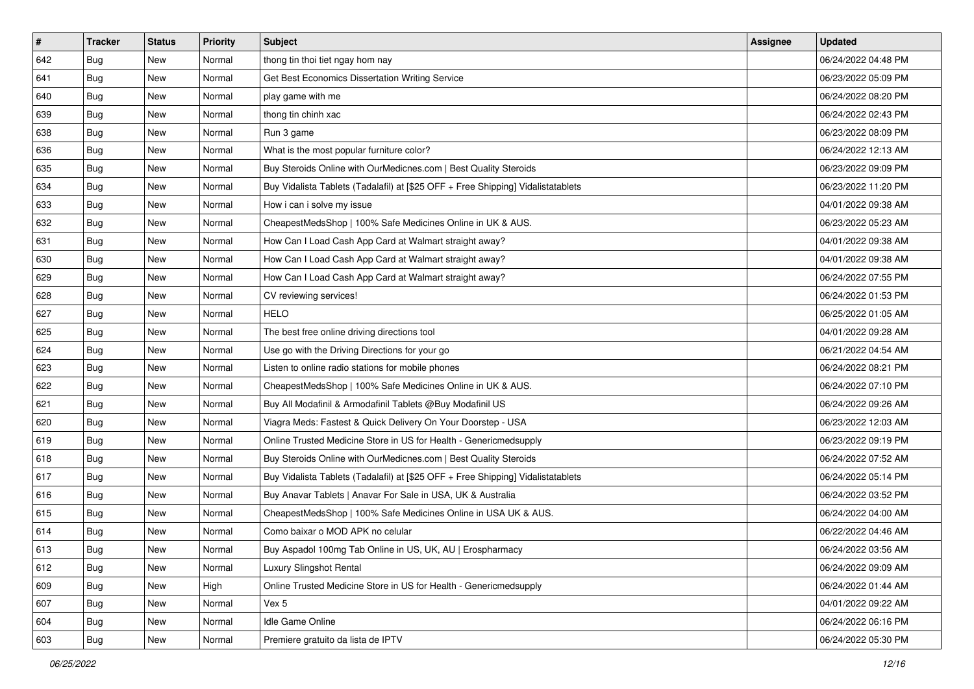| $\sharp$ | <b>Tracker</b> | <b>Status</b> | Priority | Subject                                                                          | <b>Assignee</b> | <b>Updated</b>      |
|----------|----------------|---------------|----------|----------------------------------------------------------------------------------|-----------------|---------------------|
| 642      | <b>Bug</b>     | New           | Normal   | thong tin thoi tiet ngay hom nay                                                 |                 | 06/24/2022 04:48 PM |
| 641      | Bug            | New           | Normal   | Get Best Economics Dissertation Writing Service                                  |                 | 06/23/2022 05:09 PM |
| 640      | Bug            | New           | Normal   | play game with me                                                                |                 | 06/24/2022 08:20 PM |
| 639      | <b>Bug</b>     | <b>New</b>    | Normal   | thong tin chinh xac                                                              |                 | 06/24/2022 02:43 PM |
| 638      | Bug            | New           | Normal   | Run 3 game                                                                       |                 | 06/23/2022 08:09 PM |
| 636      | <b>Bug</b>     | New           | Normal   | What is the most popular furniture color?                                        |                 | 06/24/2022 12:13 AM |
| 635      | Bug            | New           | Normal   | Buy Steroids Online with OurMedicnes.com   Best Quality Steroids                 |                 | 06/23/2022 09:09 PM |
| 634      | <b>Bug</b>     | New           | Normal   | Buy Vidalista Tablets (Tadalafil) at [\$25 OFF + Free Shipping] Vidalistatablets |                 | 06/23/2022 11:20 PM |
| 633      | <b>Bug</b>     | New           | Normal   | How i can i solve my issue                                                       |                 | 04/01/2022 09:38 AM |
| 632      | Bug            | New           | Normal   | CheapestMedsShop   100% Safe Medicines Online in UK & AUS.                       |                 | 06/23/2022 05:23 AM |
| 631      | Bug            | New           | Normal   | How Can I Load Cash App Card at Walmart straight away?                           |                 | 04/01/2022 09:38 AM |
| 630      | Bug            | New           | Normal   | How Can I Load Cash App Card at Walmart straight away?                           |                 | 04/01/2022 09:38 AM |
| 629      | <b>Bug</b>     | New           | Normal   | How Can I Load Cash App Card at Walmart straight away?                           |                 | 06/24/2022 07:55 PM |
| 628      | <b>Bug</b>     | New           | Normal   | CV reviewing services!                                                           |                 | 06/24/2022 01:53 PM |
| 627      | <b>Bug</b>     | <b>New</b>    | Normal   | <b>HELO</b>                                                                      |                 | 06/25/2022 01:05 AM |
| 625      | Bug            | New           | Normal   | The best free online driving directions tool                                     |                 | 04/01/2022 09:28 AM |
| 624      | <b>Bug</b>     | New           | Normal   | Use go with the Driving Directions for your go                                   |                 | 06/21/2022 04:54 AM |
| 623      | Bug            | New           | Normal   | Listen to online radio stations for mobile phones                                |                 | 06/24/2022 08:21 PM |
| 622      | <b>Bug</b>     | New           | Normal   | CheapestMedsShop   100% Safe Medicines Online in UK & AUS.                       |                 | 06/24/2022 07:10 PM |
| 621      | <b>Bug</b>     | <b>New</b>    | Normal   | Buy All Modafinil & Armodafinil Tablets @Buy Modafinil US                        |                 | 06/24/2022 09:26 AM |
| 620      | <b>Bug</b>     | New           | Normal   | Viagra Meds: Fastest & Quick Delivery On Your Doorstep - USA                     |                 | 06/23/2022 12:03 AM |
| 619      | Bug            | New           | Normal   | Online Trusted Medicine Store in US for Health - Genericmedsupply                |                 | 06/23/2022 09:19 PM |
| 618      | Bug            | New           | Normal   | Buy Steroids Online with OurMedicnes.com   Best Quality Steroids                 |                 | 06/24/2022 07:52 AM |
| 617      | <b>Bug</b>     | New           | Normal   | Buy Vidalista Tablets (Tadalafil) at [\$25 OFF + Free Shipping] Vidalistatablets |                 | 06/24/2022 05:14 PM |
| 616      | Bug            | New           | Normal   | Buy Anavar Tablets   Anavar For Sale in USA, UK & Australia                      |                 | 06/24/2022 03:52 PM |
| 615      | <b>Bug</b>     | New           | Normal   | CheapestMedsShop   100% Safe Medicines Online in USA UK & AUS.                   |                 | 06/24/2022 04:00 AM |
| 614      | <b>Bug</b>     | New           | Normal   | Como baixar o MOD APK no celular                                                 |                 | 06/22/2022 04:46 AM |
| 613      | I Bug          | New           | Normal   | Buy Aspadol 100mg Tab Online in US, UK, AU   Erospharmacy                        |                 | 06/24/2022 03:56 AM |
| 612      | Bug            | New           | Normal   | Luxury Slingshot Rental                                                          |                 | 06/24/2022 09:09 AM |
| 609      | Bug            | New           | High     | Online Trusted Medicine Store in US for Health - Genericmedsupply                |                 | 06/24/2022 01:44 AM |
| 607      | Bug            | New           | Normal   | Vex 5                                                                            |                 | 04/01/2022 09:22 AM |
| 604      | Bug            | New           | Normal   | Idle Game Online                                                                 |                 | 06/24/2022 06:16 PM |
| 603      | <b>Bug</b>     | New           | Normal   | Premiere gratuito da lista de IPTV                                               |                 | 06/24/2022 05:30 PM |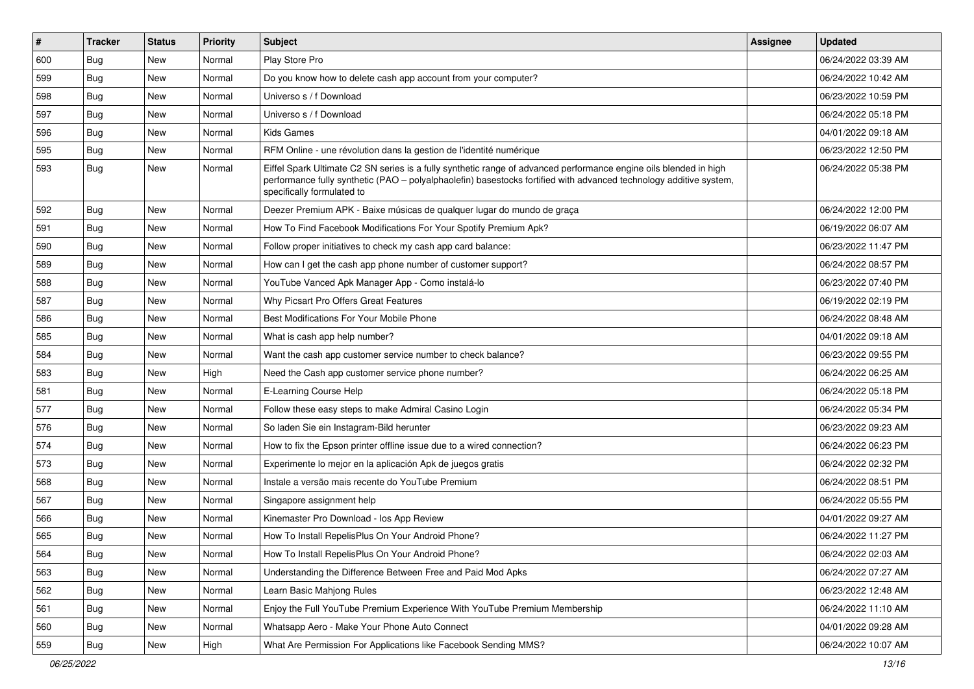| $\vert$ # | <b>Tracker</b> | <b>Status</b> | Priority | Subject                                                                                                                                                                                                                                                               | <b>Assignee</b> | <b>Updated</b>      |
|-----------|----------------|---------------|----------|-----------------------------------------------------------------------------------------------------------------------------------------------------------------------------------------------------------------------------------------------------------------------|-----------------|---------------------|
| 600       | Bug            | New           | Normal   | Play Store Pro                                                                                                                                                                                                                                                        |                 | 06/24/2022 03:39 AM |
| 599       | <b>Bug</b>     | New           | Normal   | Do you know how to delete cash app account from your computer?                                                                                                                                                                                                        |                 | 06/24/2022 10:42 AM |
| 598       | <b>Bug</b>     | New           | Normal   | Universo s / f Download                                                                                                                                                                                                                                               |                 | 06/23/2022 10:59 PM |
| 597       | <b>Bug</b>     | New           | Normal   | Universo s / f Download                                                                                                                                                                                                                                               |                 | 06/24/2022 05:18 PM |
| 596       | Bug            | <b>New</b>    | Normal   | <b>Kids Games</b>                                                                                                                                                                                                                                                     |                 | 04/01/2022 09:18 AM |
| 595       | Bug            | New           | Normal   | RFM Online - une révolution dans la gestion de l'identité numérique                                                                                                                                                                                                   |                 | 06/23/2022 12:50 PM |
| 593       | <b>Bug</b>     | New           | Normal   | Eiffel Spark Ultimate C2 SN series is a fully synthetic range of advanced performance engine oils blended in high<br>performance fully synthetic (PAO - polyalphaolefin) basestocks fortified with advanced technology additive system,<br>specifically formulated to |                 | 06/24/2022 05:38 PM |
| 592       | <b>Bug</b>     | New           | Normal   | Deezer Premium APK - Baixe músicas de qualquer lugar do mundo de graça                                                                                                                                                                                                |                 | 06/24/2022 12:00 PM |
| 591       | Bug            | New           | Normal   | How To Find Facebook Modifications For Your Spotify Premium Apk?                                                                                                                                                                                                      |                 | 06/19/2022 06:07 AM |
| 590       | Bug            | New           | Normal   | Follow proper initiatives to check my cash app card balance:                                                                                                                                                                                                          |                 | 06/23/2022 11:47 PM |
| 589       | Bug            | <b>New</b>    | Normal   | How can I get the cash app phone number of customer support?                                                                                                                                                                                                          |                 | 06/24/2022 08:57 PM |
| 588       | <b>Bug</b>     | New           | Normal   | YouTube Vanced Apk Manager App - Como instalá-lo                                                                                                                                                                                                                      |                 | 06/23/2022 07:40 PM |
| 587       | <b>Bug</b>     | New           | Normal   | Why Picsart Pro Offers Great Features                                                                                                                                                                                                                                 |                 | 06/19/2022 02:19 PM |
| 586       | Bug            | New           | Normal   | Best Modifications For Your Mobile Phone                                                                                                                                                                                                                              |                 | 06/24/2022 08:48 AM |
| 585       | <b>Bug</b>     | New           | Normal   | What is cash app help number?                                                                                                                                                                                                                                         |                 | 04/01/2022 09:18 AM |
| 584       | Bug            | <b>New</b>    | Normal   | Want the cash app customer service number to check balance?                                                                                                                                                                                                           |                 | 06/23/2022 09:55 PM |
| 583       | <b>Bug</b>     | New           | High     | Need the Cash app customer service phone number?                                                                                                                                                                                                                      |                 | 06/24/2022 06:25 AM |
| 581       | Bug            | New           | Normal   | E-Learning Course Help                                                                                                                                                                                                                                                |                 | 06/24/2022 05:18 PM |
| 577       | <b>Bug</b>     | New           | Normal   | Follow these easy steps to make Admiral Casino Login                                                                                                                                                                                                                  |                 | 06/24/2022 05:34 PM |
| 576       | Bug            | New           | Normal   | So laden Sie ein Instagram-Bild herunter                                                                                                                                                                                                                              |                 | 06/23/2022 09:23 AM |
| 574       | <b>Bug</b>     | New           | Normal   | How to fix the Epson printer offline issue due to a wired connection?                                                                                                                                                                                                 |                 | 06/24/2022 06:23 PM |
| 573       | Bug            | New           | Normal   | Experimente lo mejor en la aplicación Apk de juegos gratis                                                                                                                                                                                                            |                 | 06/24/2022 02:32 PM |
| 568       | <b>Bug</b>     | New           | Normal   | Instale a versão mais recente do YouTube Premium                                                                                                                                                                                                                      |                 | 06/24/2022 08:51 PM |
| 567       | Bug            | <b>New</b>    | Normal   | Singapore assignment help                                                                                                                                                                                                                                             |                 | 06/24/2022 05:55 PM |
| 566       | <b>Bug</b>     | New           | Normal   | Kinemaster Pro Download - los App Review                                                                                                                                                                                                                              |                 | 04/01/2022 09:27 AM |
| 565       | <b>Bug</b>     | New           | Normal   | How To Install RepelisPlus On Your Android Phone?                                                                                                                                                                                                                     |                 | 06/24/2022 11:27 PM |
| 564       | Bug            | New           | Normal   | How To Install RepelisPlus On Your Android Phone?                                                                                                                                                                                                                     |                 | 06/24/2022 02:03 AM |
| 563       | <b>Bug</b>     | New           | Normal   | Understanding the Difference Between Free and Paid Mod Apks                                                                                                                                                                                                           |                 | 06/24/2022 07:27 AM |
| 562       | <b>Bug</b>     | New           | Normal   | Learn Basic Mahjong Rules                                                                                                                                                                                                                                             |                 | 06/23/2022 12:48 AM |
| 561       | <b>Bug</b>     | New           | Normal   | Enjoy the Full YouTube Premium Experience With YouTube Premium Membership                                                                                                                                                                                             |                 | 06/24/2022 11:10 AM |
| 560       | <b>Bug</b>     | New           | Normal   | Whatsapp Aero - Make Your Phone Auto Connect                                                                                                                                                                                                                          |                 | 04/01/2022 09:28 AM |
| 559       | <b>Bug</b>     | New           | High     | What Are Permission For Applications like Facebook Sending MMS?                                                                                                                                                                                                       |                 | 06/24/2022 10:07 AM |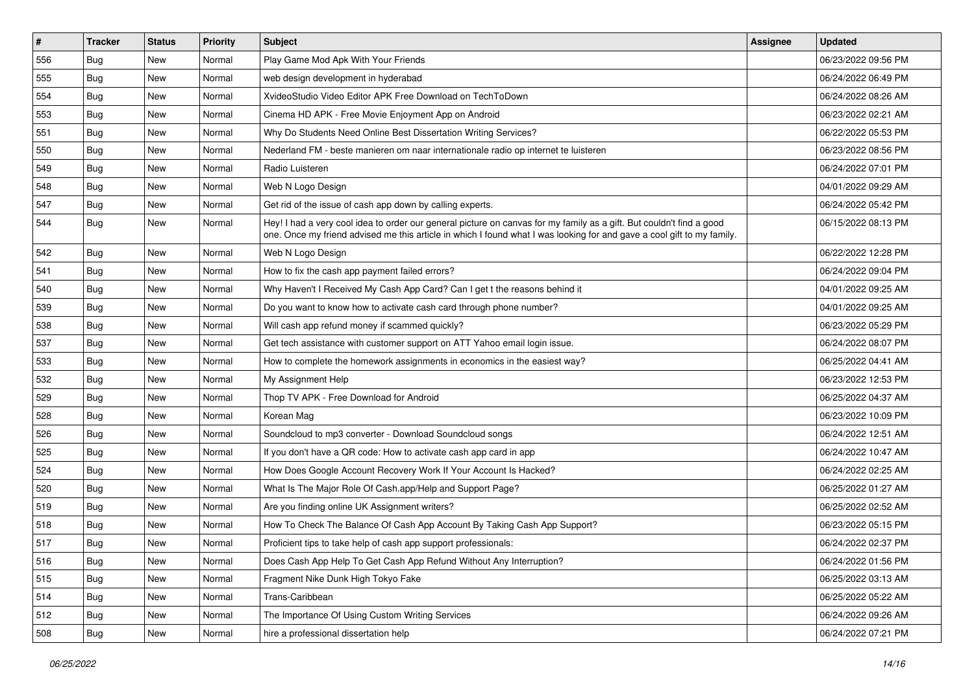| $\vert$ # | <b>Tracker</b> | <b>Status</b> | Priority | Subject                                                                                                                                                                                                                                        | <b>Assignee</b> | <b>Updated</b>      |
|-----------|----------------|---------------|----------|------------------------------------------------------------------------------------------------------------------------------------------------------------------------------------------------------------------------------------------------|-----------------|---------------------|
| 556       | <b>Bug</b>     | New           | Normal   | Play Game Mod Apk With Your Friends                                                                                                                                                                                                            |                 | 06/23/2022 09:56 PM |
| 555       | Bug            | <b>New</b>    | Normal   | web design development in hyderabad                                                                                                                                                                                                            |                 | 06/24/2022 06:49 PM |
| 554       | Bug            | New           | Normal   | XvideoStudio Video Editor APK Free Download on TechToDown                                                                                                                                                                                      |                 | 06/24/2022 08:26 AM |
| 553       | <b>Bug</b>     | <b>New</b>    | Normal   | Cinema HD APK - Free Movie Enjoyment App on Android                                                                                                                                                                                            |                 | 06/23/2022 02:21 AM |
| 551       | Bug            | New           | Normal   | Why Do Students Need Online Best Dissertation Writing Services?                                                                                                                                                                                |                 | 06/22/2022 05:53 PM |
| 550       | <b>Bug</b>     | <b>New</b>    | Normal   | Nederland FM - beste manieren om naar internationale radio op internet te luisteren                                                                                                                                                            |                 | 06/23/2022 08:56 PM |
| 549       | Bug            | New           | Normal   | Radio Luisteren                                                                                                                                                                                                                                |                 | 06/24/2022 07:01 PM |
| 548       | Bug            | New           | Normal   | Web N Logo Design                                                                                                                                                                                                                              |                 | 04/01/2022 09:29 AM |
| 547       | Bug            | New           | Normal   | Get rid of the issue of cash app down by calling experts.                                                                                                                                                                                      |                 | 06/24/2022 05:42 PM |
| 544       | <b>Bug</b>     | New           | Normal   | Hey! I had a very cool idea to order our general picture on canvas for my family as a gift. But couldn't find a good<br>one. Once my friend advised me this article in which I found what I was looking for and gave a cool gift to my family. |                 | 06/15/2022 08:13 PM |
| 542       | <b>Bug</b>     | <b>New</b>    | Normal   | Web N Logo Design                                                                                                                                                                                                                              |                 | 06/22/2022 12:28 PM |
| 541       | Bug            | New           | Normal   | How to fix the cash app payment failed errors?                                                                                                                                                                                                 |                 | 06/24/2022 09:04 PM |
| 540       | Bug            | New           | Normal   | Why Haven't I Received My Cash App Card? Can I get t the reasons behind it                                                                                                                                                                     |                 | 04/01/2022 09:25 AM |
| 539       | Bug            | <b>New</b>    | Normal   | Do you want to know how to activate cash card through phone number?                                                                                                                                                                            |                 | 04/01/2022 09:25 AM |
| 538       | <b>Bug</b>     | New           | Normal   | Will cash app refund money if scammed quickly?                                                                                                                                                                                                 |                 | 06/23/2022 05:29 PM |
| 537       | Bug            | <b>New</b>    | Normal   | Get tech assistance with customer support on ATT Yahoo email login issue.                                                                                                                                                                      |                 | 06/24/2022 08:07 PM |
| 533       | Bug            | New           | Normal   | How to complete the homework assignments in economics in the easiest way?                                                                                                                                                                      |                 | 06/25/2022 04:41 AM |
| 532       | <b>Bug</b>     | New           | Normal   | My Assignment Help                                                                                                                                                                                                                             |                 | 06/23/2022 12:53 PM |
| 529       | Bug            | New           | Normal   | Thop TV APK - Free Download for Android                                                                                                                                                                                                        |                 | 06/25/2022 04:37 AM |
| 528       | <b>Bug</b>     | <b>New</b>    | Normal   | Korean Mag                                                                                                                                                                                                                                     |                 | 06/23/2022 10:09 PM |
| 526       | <b>Bug</b>     | New           | Normal   | Soundcloud to mp3 converter - Download Soundcloud songs                                                                                                                                                                                        |                 | 06/24/2022 12:51 AM |
| 525       | <b>Bug</b>     | New           | Normal   | If you don't have a QR code: How to activate cash app card in app                                                                                                                                                                              |                 | 06/24/2022 10:47 AM |
| 524       | <b>Bug</b>     | New           | Normal   | How Does Google Account Recovery Work If Your Account Is Hacked?                                                                                                                                                                               |                 | 06/24/2022 02:25 AM |
| 520       | <b>Bug</b>     | New           | Normal   | What Is The Major Role Of Cash.app/Help and Support Page?                                                                                                                                                                                      |                 | 06/25/2022 01:27 AM |
| 519       | Bug            | New           | Normal   | Are you finding online UK Assignment writers?                                                                                                                                                                                                  |                 | 06/25/2022 02:52 AM |
| 518       | <b>Bug</b>     | New           | Normal   | How To Check The Balance Of Cash App Account By Taking Cash App Support?                                                                                                                                                                       |                 | 06/23/2022 05:15 PM |
| 517       | <b>Bug</b>     | New           | Normal   | Proficient tips to take help of cash app support professionals:                                                                                                                                                                                |                 | 06/24/2022 02:37 PM |
| 516       | <b>Bug</b>     | New           | Normal   | Does Cash App Help To Get Cash App Refund Without Any Interruption?                                                                                                                                                                            |                 | 06/24/2022 01:56 PM |
| 515       | Bug            | New           | Normal   | Fragment Nike Dunk High Tokyo Fake                                                                                                                                                                                                             |                 | 06/25/2022 03:13 AM |
| 514       | <b>Bug</b>     | New           | Normal   | Trans-Caribbean                                                                                                                                                                                                                                |                 | 06/25/2022 05:22 AM |
| 512       | <b>Bug</b>     | New           | Normal   | The Importance Of Using Custom Writing Services                                                                                                                                                                                                |                 | 06/24/2022 09:26 AM |
| 508       | <b>Bug</b>     | New           | Normal   | hire a professional dissertation help                                                                                                                                                                                                          |                 | 06/24/2022 07:21 PM |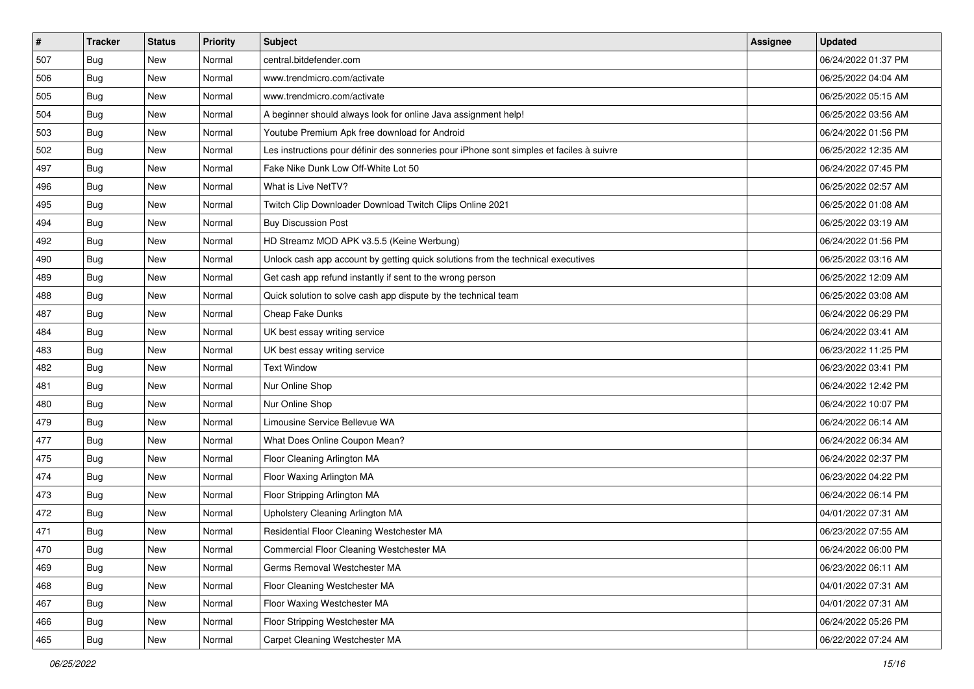| $\vert$ # | <b>Tracker</b> | <b>Status</b> | Priority | Subject                                                                                  | <b>Assignee</b> | <b>Updated</b>      |
|-----------|----------------|---------------|----------|------------------------------------------------------------------------------------------|-----------------|---------------------|
| 507       | <b>Bug</b>     | New           | Normal   | central.bitdefender.com                                                                  |                 | 06/24/2022 01:37 PM |
| 506       | Bug            | New           | Normal   | www.trendmicro.com/activate                                                              |                 | 06/25/2022 04:04 AM |
| 505       | <b>Bug</b>     | New           | Normal   | www.trendmicro.com/activate                                                              |                 | 06/25/2022 05:15 AM |
| 504       | Bug            | New           | Normal   | A beginner should always look for online Java assignment help!                           |                 | 06/25/2022 03:56 AM |
| 503       | Bug            | New           | Normal   | Youtube Premium Apk free download for Android                                            |                 | 06/24/2022 01:56 PM |
| 502       | <b>Bug</b>     | New           | Normal   | Les instructions pour définir des sonneries pour iPhone sont simples et faciles à suivre |                 | 06/25/2022 12:35 AM |
| 497       | Bug            | New           | Normal   | Fake Nike Dunk Low Off-White Lot 50                                                      |                 | 06/24/2022 07:45 PM |
| 496       | Bug            | New           | Normal   | What is Live NetTV?                                                                      |                 | 06/25/2022 02:57 AM |
| 495       | Bug            | New           | Normal   | Twitch Clip Downloader Download Twitch Clips Online 2021                                 |                 | 06/25/2022 01:08 AM |
| 494       | <b>Bug</b>     | New           | Normal   | <b>Buy Discussion Post</b>                                                               |                 | 06/25/2022 03:19 AM |
| 492       | <b>Bug</b>     | New           | Normal   | HD Streamz MOD APK v3.5.5 (Keine Werbung)                                                |                 | 06/24/2022 01:56 PM |
| 490       | <b>Bug</b>     | New           | Normal   | Unlock cash app account by getting quick solutions from the technical executives         |                 | 06/25/2022 03:16 AM |
| 489       | Bug            | <b>New</b>    | Normal   | Get cash app refund instantly if sent to the wrong person                                |                 | 06/25/2022 12:09 AM |
| 488       | <b>Bug</b>     | New           | Normal   | Quick solution to solve cash app dispute by the technical team                           |                 | 06/25/2022 03:08 AM |
| 487       | Bug            | New           | Normal   | Cheap Fake Dunks                                                                         |                 | 06/24/2022 06:29 PM |
| 484       | <b>Bug</b>     | New           | Normal   | UK best essay writing service                                                            |                 | 06/24/2022 03:41 AM |
| 483       | Bug            | New           | Normal   | UK best essay writing service                                                            |                 | 06/23/2022 11:25 PM |
| 482       | Bug            | New           | Normal   | <b>Text Window</b>                                                                       |                 | 06/23/2022 03:41 PM |
| 481       | <b>Bug</b>     | New           | Normal   | Nur Online Shop                                                                          |                 | 06/24/2022 12:42 PM |
| 480       | Bug            | New           | Normal   | Nur Online Shop                                                                          |                 | 06/24/2022 10:07 PM |
| 479       | Bug            | New           | Normal   | Limousine Service Bellevue WA                                                            |                 | 06/24/2022 06:14 AM |
| 477       | <b>Bug</b>     | New           | Normal   | What Does Online Coupon Mean?                                                            |                 | 06/24/2022 06:34 AM |
| 475       | Bug            | New           | Normal   | Floor Cleaning Arlington MA                                                              |                 | 06/24/2022 02:37 PM |
| 474       | <b>Bug</b>     | New           | Normal   | Floor Waxing Arlington MA                                                                |                 | 06/23/2022 04:22 PM |
| 473       | <b>Bug</b>     | New           | Normal   | Floor Stripping Arlington MA                                                             |                 | 06/24/2022 06:14 PM |
| 472       | <b>Bug</b>     | New           | Normal   | Upholstery Cleaning Arlington MA                                                         |                 | 04/01/2022 07:31 AM |
| 471       | <b>Bug</b>     | New           | Normal   | Residential Floor Cleaning Westchester MA                                                |                 | 06/23/2022 07:55 AM |
| 470       | <b>Bug</b>     | New           | Normal   | Commercial Floor Cleaning Westchester MA                                                 |                 | 06/24/2022 06:00 PM |
| 469       | Bug            | New           | Normal   | Germs Removal Westchester MA                                                             |                 | 06/23/2022 06:11 AM |
| 468       | <b>Bug</b>     | New           | Normal   | Floor Cleaning Westchester MA                                                            |                 | 04/01/2022 07:31 AM |
| 467       | Bug            | New           | Normal   | Floor Waxing Westchester MA                                                              |                 | 04/01/2022 07:31 AM |
| 466       | <b>Bug</b>     | New           | Normal   | Floor Stripping Westchester MA                                                           |                 | 06/24/2022 05:26 PM |
| 465       | <b>Bug</b>     | New           | Normal   | Carpet Cleaning Westchester MA                                                           |                 | 06/22/2022 07:24 AM |